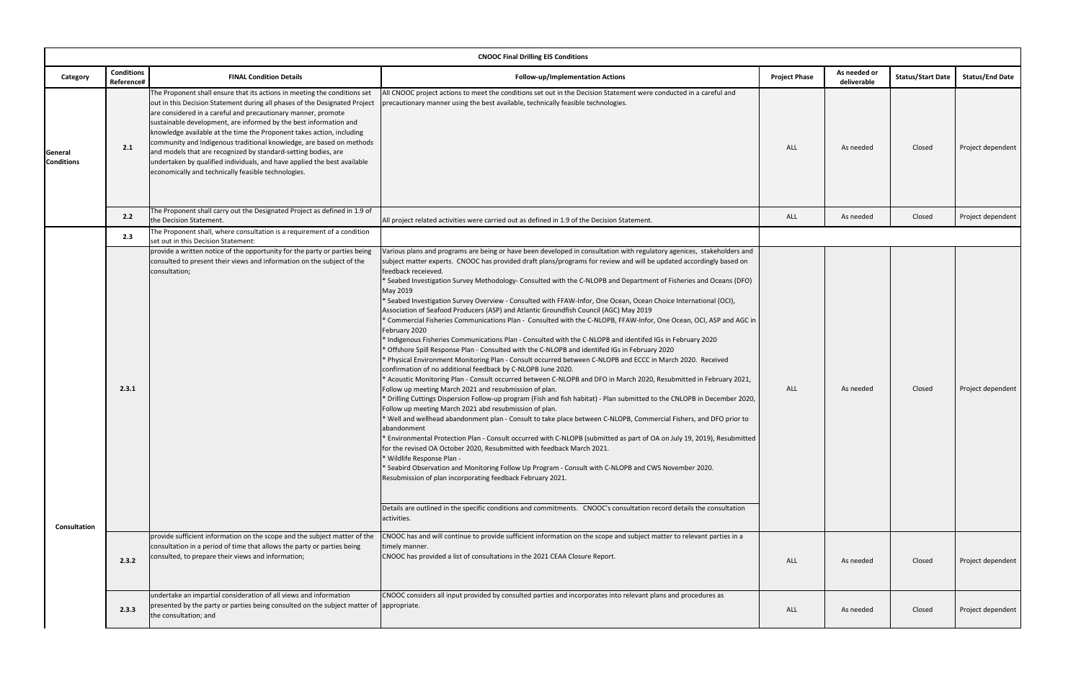| <b>CNOOC Final Drilling EIS Conditions</b> |                                 |                                                                                                                                                                                                                                                                                                                                                                                                                                                                                                                                                                                                                                                     |                                                                                                                                                                                                                                                                                                                                                                                                                                                                                                                                                                                                                                                                                                                                                                                                                                                                                                                                                                                                                                                                                                                                                                                                                                                                                                                                                                                                                                                                                                                                                                                                                                                                                                                                                                                                                                                                                                                                                                                                                                                                                                                                                                                                                                                                                                                                                  |                      |                             |                          |                        |  |  |
|--------------------------------------------|---------------------------------|-----------------------------------------------------------------------------------------------------------------------------------------------------------------------------------------------------------------------------------------------------------------------------------------------------------------------------------------------------------------------------------------------------------------------------------------------------------------------------------------------------------------------------------------------------------------------------------------------------------------------------------------------------|--------------------------------------------------------------------------------------------------------------------------------------------------------------------------------------------------------------------------------------------------------------------------------------------------------------------------------------------------------------------------------------------------------------------------------------------------------------------------------------------------------------------------------------------------------------------------------------------------------------------------------------------------------------------------------------------------------------------------------------------------------------------------------------------------------------------------------------------------------------------------------------------------------------------------------------------------------------------------------------------------------------------------------------------------------------------------------------------------------------------------------------------------------------------------------------------------------------------------------------------------------------------------------------------------------------------------------------------------------------------------------------------------------------------------------------------------------------------------------------------------------------------------------------------------------------------------------------------------------------------------------------------------------------------------------------------------------------------------------------------------------------------------------------------------------------------------------------------------------------------------------------------------------------------------------------------------------------------------------------------------------------------------------------------------------------------------------------------------------------------------------------------------------------------------------------------------------------------------------------------------------------------------------------------------------------------------------------------------|----------------------|-----------------------------|--------------------------|------------------------|--|--|
| Category                                   | <b>Conditions</b><br>Reference# | <b>FINAL Condition Details</b>                                                                                                                                                                                                                                                                                                                                                                                                                                                                                                                                                                                                                      | Follow-up/Implementation Actions                                                                                                                                                                                                                                                                                                                                                                                                                                                                                                                                                                                                                                                                                                                                                                                                                                                                                                                                                                                                                                                                                                                                                                                                                                                                                                                                                                                                                                                                                                                                                                                                                                                                                                                                                                                                                                                                                                                                                                                                                                                                                                                                                                                                                                                                                                                 | <b>Project Phase</b> | As needed or<br>deliverable | <b>Status/Start Date</b> | <b>Status/End Date</b> |  |  |
| General<br><b>Conditions</b>               | 2.1                             | The Proponent shall ensure that its actions in meeting the conditions set<br>out in this Decision Statement during all phases of the Designated Project<br>are considered in a careful and precautionary manner, promote<br>sustainable development, are informed by the best information and<br>knowledge available at the time the Proponent takes action, including<br>community and Indigenous traditional knowledge, are based on methods<br>and models that are recognized by standard-setting bodies, are<br>undertaken by qualified individuals, and have applied the best available<br>economically and technically feasible technologies. | All CNOOC project actions to meet the conditions set out in the Decision Statement were conducted in a careful and<br>precautionary manner using the best available, technically feasible technologies.                                                                                                                                                                                                                                                                                                                                                                                                                                                                                                                                                                                                                                                                                                                                                                                                                                                                                                                                                                                                                                                                                                                                                                                                                                                                                                                                                                                                                                                                                                                                                                                                                                                                                                                                                                                                                                                                                                                                                                                                                                                                                                                                          | ALL                  | As needed                   | Closed                   | Project dependent      |  |  |
|                                            | 2.2                             | The Proponent shall carry out the Designated Project as defined in 1.9 of<br>the Decision Statement.                                                                                                                                                                                                                                                                                                                                                                                                                                                                                                                                                | All project related activities were carried out as defined in 1.9 of the Decision Statement.                                                                                                                                                                                                                                                                                                                                                                                                                                                                                                                                                                                                                                                                                                                                                                                                                                                                                                                                                                                                                                                                                                                                                                                                                                                                                                                                                                                                                                                                                                                                                                                                                                                                                                                                                                                                                                                                                                                                                                                                                                                                                                                                                                                                                                                     | ALL                  | As needed                   | Closed                   | Project dependent      |  |  |
|                                            | 2.3                             | The Proponent shall, where consultation is a requirement of a condition<br>set out in this Decision Statement:                                                                                                                                                                                                                                                                                                                                                                                                                                                                                                                                      |                                                                                                                                                                                                                                                                                                                                                                                                                                                                                                                                                                                                                                                                                                                                                                                                                                                                                                                                                                                                                                                                                                                                                                                                                                                                                                                                                                                                                                                                                                                                                                                                                                                                                                                                                                                                                                                                                                                                                                                                                                                                                                                                                                                                                                                                                                                                                  |                      |                             |                          |                        |  |  |
| <b>Consultation</b>                        | 2.3.1                           | provide a written notice of the opportunity for the party or parties being<br>consulted to present their views and information on the subject of the<br>consultation;<br>provide sufficient information on the scope and the subject matter of the                                                                                                                                                                                                                                                                                                                                                                                                  | Various plans and programs are being or have been developed in consultation with regulatory agenices, stakeholders and<br>subject matter experts. CNOOC has provided draft plans/programs for review and will be updated accordingly based on<br>feedback receieved.<br>* Seabed Investigation Survey Methodology- Consulted with the C-NLOPB and Department of Fisheries and Oceans (DFO)<br>May 2019<br>* Seabed Investigation Survey Overview - Consulted with FFAW-Infor, One Ocean, Ocean Choice International (OCI),<br>Association of Seafood Producers (ASP) and Atlantic Groundfish Council (AGC) May 2019<br>* Commercial Fisheries Communications Plan - Consulted with the C-NLOPB, FFAW-Infor, One Ocean, OCI, ASP and AGC in<br>February 2020<br>* Indigenous Fisheries Communications Plan - Consulted with the C-NLOPB and identifed IGs in February 2020<br>* Offshore Spill Response Plan - Consulted with the C-NLOPB and identifed IGs in February 2020<br>* Physical Environment Monitoring Plan - Consult occurred between C-NLOPB and ECCC in March 2020. Received<br>confirmation of no additional feedback by C-NLOPB June 2020.<br>* Acoustic Monitoring Plan - Consult occurred between C-NLOPB and DFO in March 2020, Resubmitted in February 2021,<br>Follow up meeting March 2021 and resubmission of plan.<br>* Drilling Cuttings Dispersion Follow-up program (Fish and fish habitat) - Plan submitted to the CNLOPB in December 2020,<br>Follow up meeting March 2021 abd resubmission of plan.<br>* Well and wellhead abandonment plan - Consult to take place between C-NLOPB, Commercial Fishers, and DFO prior to<br>abandonment<br>* Environmental Protection Plan - Consult occurred with C-NLOPB (submitted as part of OA on July 19, 2019), Resubmitted<br>for the revised OA October 2020, Resubmitted with feedback March 2021.<br>* Wildlife Response Plan -<br>* Seabird Observation and Monitoring Follow Up Program - Consult with C-NLOPB and CWS November 2020.<br>Resubmission of plan incorporating feedback February 2021.<br>Details are outlined in the specific conditions and commitments. CNOOC's consultation record details the consultation<br>activities.<br>CNOOC has and will continue to provide sufficient information on the scope and subject matter to relevant parties in a | ALL                  | As needed                   | Closed                   | Project dependent      |  |  |
|                                            | 2.3.2                           | consultation in a period of time that allows the party or parties being<br>consulted, to prepare their views and information;                                                                                                                                                                                                                                                                                                                                                                                                                                                                                                                       | timely manner.<br>CNOOC has provided a list of consultations in the 2021 CEAA Closure Report.                                                                                                                                                                                                                                                                                                                                                                                                                                                                                                                                                                                                                                                                                                                                                                                                                                                                                                                                                                                                                                                                                                                                                                                                                                                                                                                                                                                                                                                                                                                                                                                                                                                                                                                                                                                                                                                                                                                                                                                                                                                                                                                                                                                                                                                    | <b>ALL</b>           | As needed                   | Closed                   | Project dependent      |  |  |
|                                            | 2.3.3                           | undertake an impartial consideration of all views and information<br>presented by the party or parties being consulted on the subject matter of appropriate.<br>the consultation; and                                                                                                                                                                                                                                                                                                                                                                                                                                                               | CNOOC considers all input provided by consulted parties and incorporates into relevant plans and procedures as                                                                                                                                                                                                                                                                                                                                                                                                                                                                                                                                                                                                                                                                                                                                                                                                                                                                                                                                                                                                                                                                                                                                                                                                                                                                                                                                                                                                                                                                                                                                                                                                                                                                                                                                                                                                                                                                                                                                                                                                                                                                                                                                                                                                                                   | <b>ALL</b>           | As needed                   | Closed                   | Project dependent      |  |  |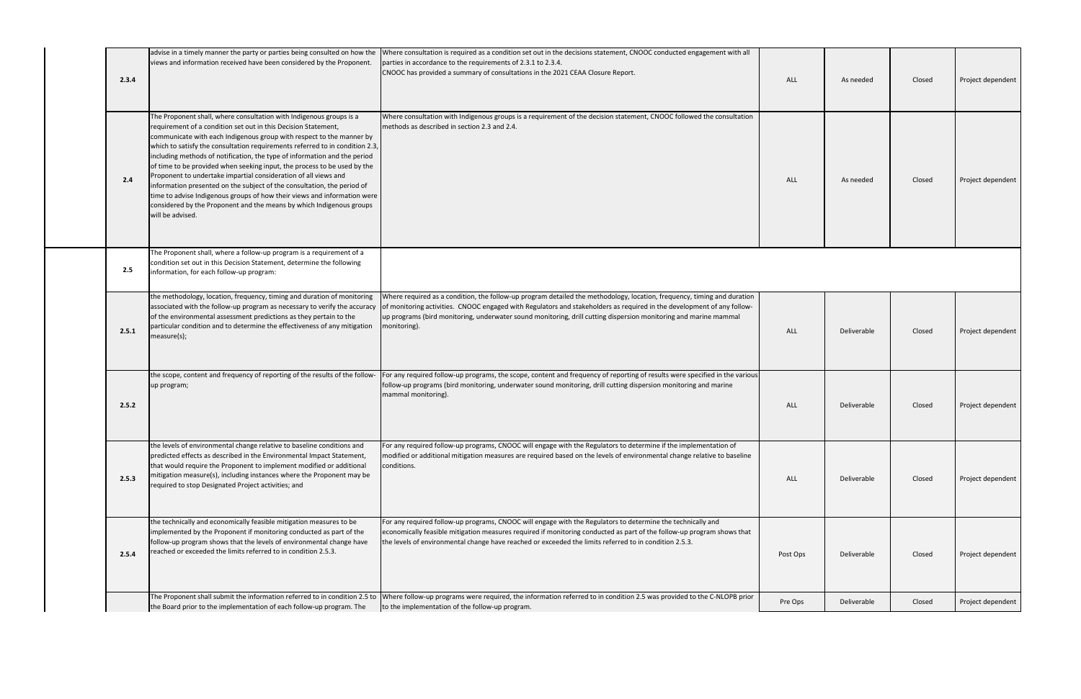| 2.3.4 | advise in a timely manner the party or parties being consulted on how the<br>views and information received have been considered by the Proponent.                                                                                                                                                                                                                                                                                                                                                                                                                                                                                                                                                                                                                           | Where consultation is required as a condition set out in the decisions statement, CNOOC conducted engagement with all<br>parties in accordance to the requirements of 2.3.1 to 2.3.4.<br>CNOOC has provided a summary of consultations in the 2021 CEAA Closure Report.                                                                                                               | <b>ALL</b> | As needed   | Closed | Project dependent |
|-------|------------------------------------------------------------------------------------------------------------------------------------------------------------------------------------------------------------------------------------------------------------------------------------------------------------------------------------------------------------------------------------------------------------------------------------------------------------------------------------------------------------------------------------------------------------------------------------------------------------------------------------------------------------------------------------------------------------------------------------------------------------------------------|---------------------------------------------------------------------------------------------------------------------------------------------------------------------------------------------------------------------------------------------------------------------------------------------------------------------------------------------------------------------------------------|------------|-------------|--------|-------------------|
| 2.4   | The Proponent shall, where consultation with Indigenous groups is a<br>requirement of a condition set out in this Decision Statement,<br>communicate with each Indigenous group with respect to the manner by<br>which to satisfy the consultation requirements referred to in condition 2.3,<br>including methods of notification, the type of information and the period<br>of time to be provided when seeking input, the process to be used by the<br>Proponent to undertake impartial consideration of all views and<br>information presented on the subject of the consultation, the period of<br>time to advise Indigenous groups of how their views and information were<br>considered by the Proponent and the means by which Indigenous groups<br>will be advised. | Where consultation with Indigenous groups is a requirement of the decision statement, CNOOC followed the consultation<br>Imethods as described in section 2.3 and 2.4.                                                                                                                                                                                                                | <b>ALL</b> | As needed   | Closed | Project dependent |
| 2.5   | The Proponent shall, where a follow-up program is a requirement of a<br>condition set out in this Decision Statement, determine the following<br>information, for each follow-up program:                                                                                                                                                                                                                                                                                                                                                                                                                                                                                                                                                                                    |                                                                                                                                                                                                                                                                                                                                                                                       |            |             |        |                   |
| 2.5.1 | the methodology, location, frequency, timing and duration of monitoring<br>associated with the follow-up program as necessary to verify the accuracy<br>of the environmental assessment predictions as they pertain to the<br>particular condition and to determine the effectiveness of any mitigation<br>measure(s);                                                                                                                                                                                                                                                                                                                                                                                                                                                       | Where required as a condition, the follow-up program detailed the methodology, location, frequency, timing and duration<br>of monitoring activities. CNOOC engaged with Regulators and stakeholders as required in the development of any follow-<br>up programs (bird monitoring, underwater sound monitoring, drill cutting dispersion monitoring and marine mammal<br>monitoring). | <b>ALL</b> | Deliverable | Closed | Project dependent |
| 2.5.2 | the scope, content and frequency of reporting of the results of the follow-<br>up program;                                                                                                                                                                                                                                                                                                                                                                                                                                                                                                                                                                                                                                                                                   | For any required follow-up programs, the scope, content and frequency of reporting of results were specified in the various<br>follow-up programs (bird monitoring, underwater sound monitoring, drill cutting dispersion monitoring and marine<br>mammal monitoring).                                                                                                                | ALL        | Deliverable | Closed | Project dependent |
| 2.5.3 | the levels of environmental change relative to baseline conditions and<br>predicted effects as described in the Environmental Impact Statement,<br>that would require the Proponent to implement modified or additional<br>mitigation measure(s), including instances where the Proponent may be<br>required to stop Designated Project activities; and                                                                                                                                                                                                                                                                                                                                                                                                                      | For any required follow-up programs, CNOOC will engage with the Regulators to determine if the implementation of<br>modified or additional mitigation measures are required based on the levels of environmental change relative to baseline<br>conditions.                                                                                                                           | ALL        | Deliverable | Closed | Project dependent |
| 2.5.4 | the technically and economically feasible mitigation measures to be<br>implemented by the Proponent if monitoring conducted as part of the<br>follow-up program shows that the levels of environmental change have<br>reached or exceeded the limits referred to in condition 2.5.3.                                                                                                                                                                                                                                                                                                                                                                                                                                                                                         | For any required follow-up programs, CNOOC will engage with the Regulators to determine the technically and<br>economically feasible mitigation measures required if monitoring conducted as part of the follow-up program shows that<br>the levels of environmental change have reached or exceeded the limits referred to in condition 2.5.3.                                       | Post Ops   | Deliverable | Closed | Project dependent |
|       | the Board prior to the implementation of each follow-up program. The                                                                                                                                                                                                                                                                                                                                                                                                                                                                                                                                                                                                                                                                                                         | The Proponent shall submit the information referred to in condition 2.5 to Where follow-up programs were required, the information referred to in condition 2.5 was provided to the C-NLOPB prior<br>to the implementation of the follow-up program.                                                                                                                                  | Pre Ops    | Deliverable | Closed | Project dependent |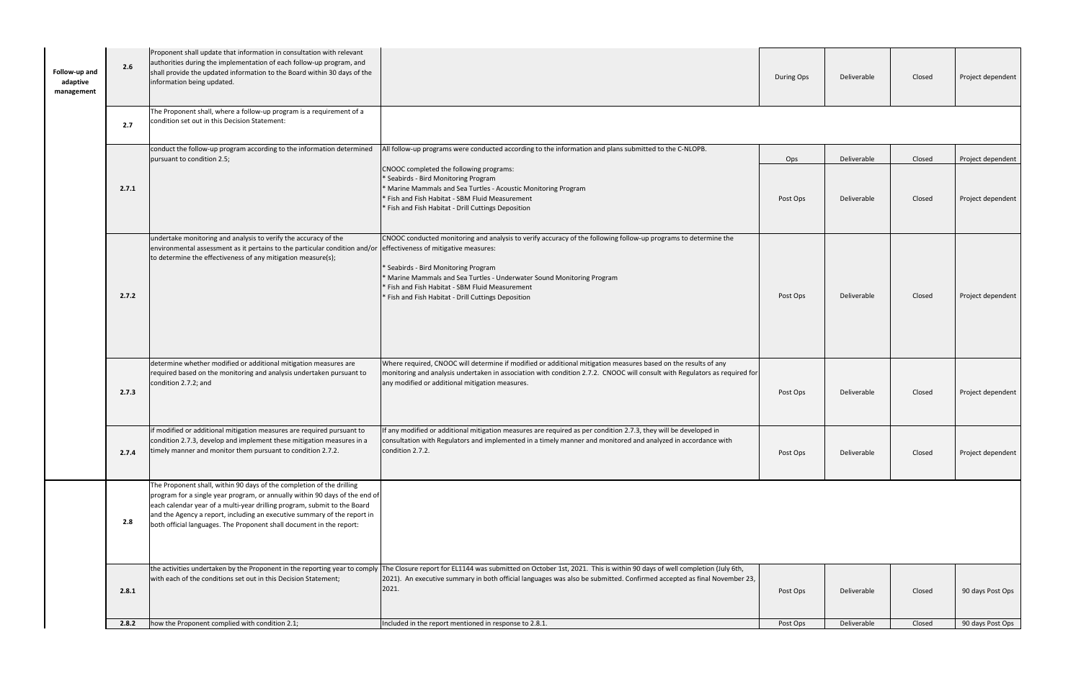| Follow-up and<br>adaptive<br>management | 2.6   | Proponent shall update that information in consultation with relevant<br>authorities during the implementation of each follow-up program, and<br>shall provide the updated information to the Board within 30 days of the<br>information being updated.                                                                                                                              |                                                                                                                                                                                                                                                                                                                                                                                      | During Ops | Deliverable | Closed | Project dependent |
|-----------------------------------------|-------|--------------------------------------------------------------------------------------------------------------------------------------------------------------------------------------------------------------------------------------------------------------------------------------------------------------------------------------------------------------------------------------|--------------------------------------------------------------------------------------------------------------------------------------------------------------------------------------------------------------------------------------------------------------------------------------------------------------------------------------------------------------------------------------|------------|-------------|--------|-------------------|
|                                         | 2.7   | The Proponent shall, where a follow-up program is a requirement of a<br>condition set out in this Decision Statement:                                                                                                                                                                                                                                                                |                                                                                                                                                                                                                                                                                                                                                                                      |            |             |        |                   |
|                                         |       | conduct the follow-up program according to the information determined<br>pursuant to condition 2.5;                                                                                                                                                                                                                                                                                  | All follow-up programs were conducted according to the information and plans submitted to the C-NLOPB.                                                                                                                                                                                                                                                                               | Ops        | Deliverable | Closed | Project dependent |
|                                         | 2.7.1 |                                                                                                                                                                                                                                                                                                                                                                                      | CNOOC completed the following programs:<br>* Seabirds - Bird Monitoring Program<br>* Marine Mammals and Sea Turtles - Acoustic Monitoring Program<br>* Fish and Fish Habitat - SBM Fluid Measurement<br>* Fish and Fish Habitat - Drill Cuttings Deposition                                                                                                                          | Post Ops   | Deliverable | Closed | Project dependent |
|                                         | 2.7.2 | undertake monitoring and analysis to verify the accuracy of the<br>environmental assessment as it pertains to the particular condition and/or<br>to determine the effectiveness of any mitigation measure(s);                                                                                                                                                                        | CNOOC conducted monitoring and analysis to verify accuracy of the following follow-up programs to determine the<br>effectiveness of mitigative measures:<br>* Seabirds - Bird Monitoring Program<br>* Marine Mammals and Sea Turtles - Underwater Sound Monitoring Program<br>* Fish and Fish Habitat - SBM Fluid Measurement<br>* Fish and Fish Habitat - Drill Cuttings Deposition | Post Ops   | Deliverable | Closed | Project dependent |
|                                         | 2.7.3 | determine whether modified or additional mitigation measures are<br>required based on the monitoring and analysis undertaken pursuant to<br>condition 2.7.2; and                                                                                                                                                                                                                     | Where required, CNOOC will determine if modified or additional mitigation measures based on the results of any<br>monitoring and analysis undertaken in association with condition 2.7.2. CNOOC will consult with Regulators as required for<br>any modified or additional mitigation measures.                                                                                      | Post Ops   | Deliverable | Closed | Project dependent |
|                                         | 2.7.4 | if modified or additional mitigation measures are required pursuant to<br>condition 2.7.3, develop and implement these mitigation measures in a<br>timely manner and monitor them pursuant to condition 2.7.2.                                                                                                                                                                       | If any modified or additional mitigation measures are required as per condition 2.7.3, they will be developed in<br>consultation with Regulators and implemented in a timely manner and monitored and analyzed in accordance with<br>condition 2.7.2.                                                                                                                                | Post Ops   | Deliverable | Closed | Project dependent |
|                                         | 2.8   | The Proponent shall, within 90 days of the completion of the drilling<br>program for a single year program, or annually within 90 days of the end of<br>each calendar year of a multi-year drilling program, submit to the Board<br>and the Agency a report, including an executive summary of the report in<br>both official languages. The Proponent shall document in the report: |                                                                                                                                                                                                                                                                                                                                                                                      |            |             |        |                   |
|                                         | 2.8.1 | the activities undertaken by the Proponent in the reporting year to comply<br>with each of the conditions set out in this Decision Statement;                                                                                                                                                                                                                                        | The Closure report for EL1144 was submitted on October 1st, 2021. This is within 90 days of well completion (July 6th,<br>[2021]. An executive summary in both official languages was also be submitted. Confirmed accepted as final November 23,<br>2021.                                                                                                                           | Post Ops   | Deliverable | Closed | 90 days Post Ops  |
|                                         | 2.8.2 | how the Proponent complied with condition 2.1;                                                                                                                                                                                                                                                                                                                                       | Included in the report mentioned in response to 2.8.1.                                                                                                                                                                                                                                                                                                                               | Post Ops   | Deliverable | Closed | 90 days Post Ops  |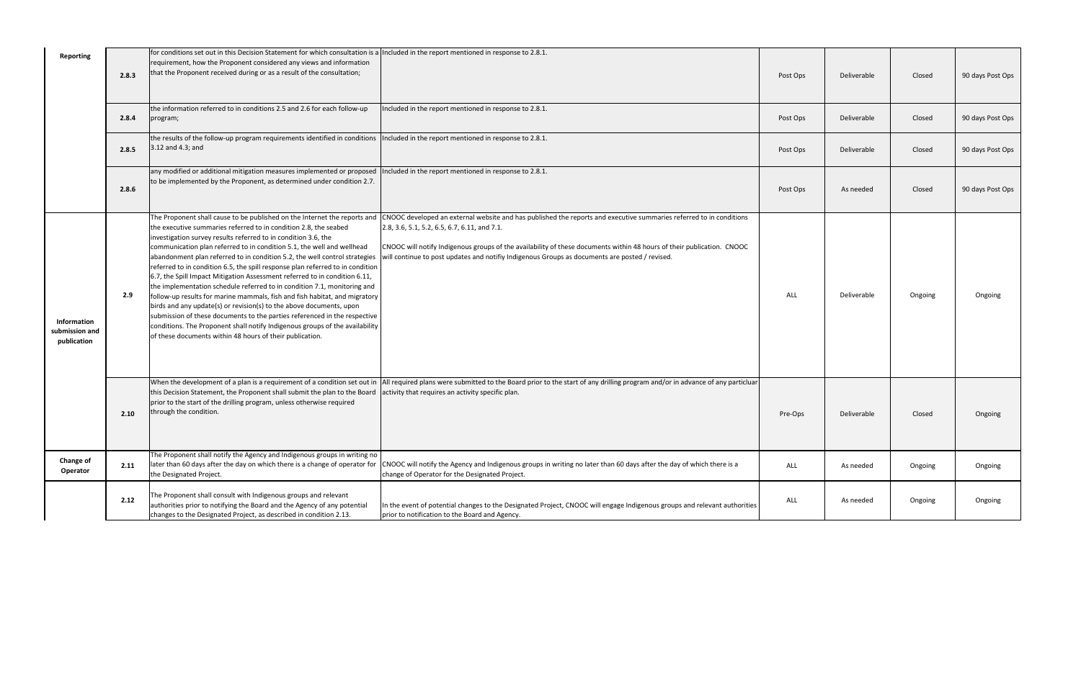| <b>Reporting</b>                             | 2.8.3 | for conditions set out in this Decision Statement for which consultation is a Included in the report mentioned in response to 2.8.1.<br>requirement, how the Proponent considered any views and information<br>that the Proponent received during or as a result of the consultation;                                                                                                                                                                                                                                                                                                                                                                                                                                                                                                                                                                                                                                                                                                             |                                                                                                                                                                                                                                                                                                                                                                                                 | Post Ops   | Deliverable | Closed  | 90 days Post Ops |
|----------------------------------------------|-------|---------------------------------------------------------------------------------------------------------------------------------------------------------------------------------------------------------------------------------------------------------------------------------------------------------------------------------------------------------------------------------------------------------------------------------------------------------------------------------------------------------------------------------------------------------------------------------------------------------------------------------------------------------------------------------------------------------------------------------------------------------------------------------------------------------------------------------------------------------------------------------------------------------------------------------------------------------------------------------------------------|-------------------------------------------------------------------------------------------------------------------------------------------------------------------------------------------------------------------------------------------------------------------------------------------------------------------------------------------------------------------------------------------------|------------|-------------|---------|------------------|
|                                              | 2.8.4 | the information referred to in conditions 2.5 and 2.6 for each follow-up<br>program;                                                                                                                                                                                                                                                                                                                                                                                                                                                                                                                                                                                                                                                                                                                                                                                                                                                                                                              | Included in the report mentioned in response to 2.8.1.                                                                                                                                                                                                                                                                                                                                          | Post Ops   | Deliverable | Closed  | 90 days Post Ops |
|                                              | 2.8.5 | the results of the follow-up program requirements identified in conditions<br>$3.12$ and 4.3; and                                                                                                                                                                                                                                                                                                                                                                                                                                                                                                                                                                                                                                                                                                                                                                                                                                                                                                 | Included in the report mentioned in response to 2.8.1.                                                                                                                                                                                                                                                                                                                                          | Post Ops   | Deliverable | Closed  | 90 days Post Ops |
|                                              | 2.8.6 | any modified or additional mitigation measures implemented or proposed<br>to be implemented by the Proponent, as determined under condition 2.7.                                                                                                                                                                                                                                                                                                                                                                                                                                                                                                                                                                                                                                                                                                                                                                                                                                                  | Included in the report mentioned in response to 2.8.1.                                                                                                                                                                                                                                                                                                                                          | Post Ops   | As needed   | Closed  | 90 days Post Ops |
| Information<br>submission and<br>publication | 2.9   | The Proponent shall cause to be published on the Internet the reports and<br>the executive summaries referred to in condition 2.8, the seabed<br>investigation survey results referred to in condition 3.6, the<br>communication plan referred to in condition 5.1, the well and wellhead<br>abandonment plan referred to in condition 5.2, the well control strategies<br>referred to in condition 6.5, the spill response plan referred to in condition<br>6.7, the Spill Impact Mitigation Assessment referred to in condition 6.11,<br>the implementation schedule referred to in condition 7.1, monitoring and<br>follow-up results for marine mammals, fish and fish habitat, and migratory<br>birds and any update(s) or revision(s) to the above documents, upon<br>submission of these documents to the parties referenced in the respective<br>conditions. The Proponent shall notify Indigenous groups of the availability<br>of these documents within 48 hours of their publication. | CNOOC developed an external website and has published the reports and executive summaries referred to in conditions<br>2.8, 3.6, 5.1, 5.2, 6.5, 6.7, 6.11, and 7.1.<br>CNOOC will notify Indigenous groups of the availability of these documents within 48 hours of their publication. CNOOC<br>will continue to post updates and notifiy Indigenous Groups as documents are posted / revised. | <b>ALL</b> | Deliverable | Ongoing | Ongoing          |
|                                              | 2.10  | this Decision Statement, the Proponent shall submit the plan to the Board<br>prior to the start of the drilling program, unless otherwise required<br>through the condition.                                                                                                                                                                                                                                                                                                                                                                                                                                                                                                                                                                                                                                                                                                                                                                                                                      | When the development of a plan is a requirement of a condition set out in  All required plans were submitted to the Board prior to the start of any drilling program and/or in advance of any particluar<br>activity that requires an activity specific plan.                                                                                                                                   | Pre-Ops    | Deliverable | Closed  | Ongoing          |
| <b>Change of</b><br>Operator                 | 2.11  | The Proponent shall notify the Agency and Indigenous groups in writing no<br>later than 60 days after the day on which there is a change of operator for<br>the Designated Project.                                                                                                                                                                                                                                                                                                                                                                                                                                                                                                                                                                                                                                                                                                                                                                                                               | CNOOC will notify the Agency and Indigenous groups in writing no later than 60 days after the day of which there is a<br>change of Operator for the Designated Project.                                                                                                                                                                                                                         | ALL        | As needed   | Ongoing | Ongoing          |
|                                              | 2.12  | The Proponent shall consult with Indigenous groups and relevant<br>authorities prior to notifying the Board and the Agency of any potential<br>changes to the Designated Project, as described in condition 2.13.                                                                                                                                                                                                                                                                                                                                                                                                                                                                                                                                                                                                                                                                                                                                                                                 | In the event of potential changes to the Designated Project, CNOOC will engage Indigenous groups and relevant authorities<br>prior to notification to the Board and Agency.                                                                                                                                                                                                                     | ALL        | As needed   | Ongoing | Ongoing          |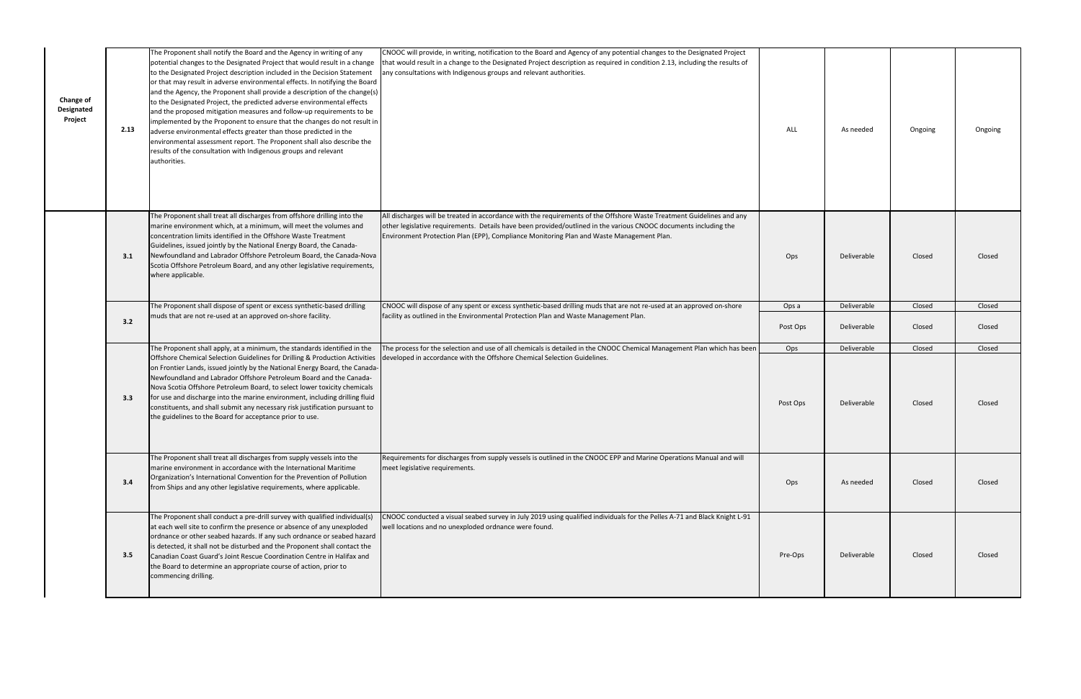| <b>Change of</b><br><b>Designated</b><br>Project | 2.13 | The Proponent shall notify the Board and the Agency in writing of any<br>potential changes to the Designated Project that would result in a change<br>to the Designated Project description included in the Decision Statement<br>or that may result in adverse environmental effects. In notifying the Board<br>and the Agency, the Proponent shall provide a description of the change(s)<br>to the Designated Project, the predicted adverse environmental effects<br>and the proposed mitigation measures and follow-up requirements to be<br>implemented by the Proponent to ensure that the changes do not result in<br>adverse environmental effects greater than those predicted in the<br>environmental assessment report. The Proponent shall also describe the<br>results of the consultation with Indigenous groups and relevant<br>authorities. | CNOOC will provide, in writing, notification to the Board and Agency of any potential changes to the Designated Project<br>that would result in a change to the Designated Project description as required in condition 2.13, including the results of<br>any consultations with Indigenous groups and relevant authorities.          | ALL             | As needed                  | Ongoing          | Ongoing          |
|--------------------------------------------------|------|--------------------------------------------------------------------------------------------------------------------------------------------------------------------------------------------------------------------------------------------------------------------------------------------------------------------------------------------------------------------------------------------------------------------------------------------------------------------------------------------------------------------------------------------------------------------------------------------------------------------------------------------------------------------------------------------------------------------------------------------------------------------------------------------------------------------------------------------------------------|---------------------------------------------------------------------------------------------------------------------------------------------------------------------------------------------------------------------------------------------------------------------------------------------------------------------------------------|-----------------|----------------------------|------------------|------------------|
|                                                  | 3.1  | The Proponent shall treat all discharges from offshore drilling into the<br>marine environment which, at a minimum, will meet the volumes and<br>concentration limits identified in the Offshore Waste Treatment<br>Guidelines, issued jointly by the National Energy Board, the Canada-<br>Newfoundland and Labrador Offshore Petroleum Board, the Canada-Nova<br>Scotia Offshore Petroleum Board, and any other legislative requirements,<br>where applicable.                                                                                                                                                                                                                                                                                                                                                                                             | All discharges will be treated in accordance with the requirements of the Offshore Waste Treatment Guidelines and any<br>other legislative requirements. Details have been provided/outlined in the various CNOOC documents including the<br>Environment Protection Plan (EPP), Compliance Monitoring Plan and Waste Management Plan. | Ops             | Deliverable                | Closed           | Closed           |
|                                                  |      | The Proponent shall dispose of spent or excess synthetic-based drilling<br>muds that are not re-used at an approved on-shore facility.                                                                                                                                                                                                                                                                                                                                                                                                                                                                                                                                                                                                                                                                                                                       | CNOOC will dispose of any spent or excess synthetic-based drilling muds that are not re-used at an approved on-shore<br>facility as outlined in the Environmental Protection Plan and Waste Management Plan.                                                                                                                          | Ops a           | Deliverable                | Closed           | Closed           |
|                                                  | 3.2  |                                                                                                                                                                                                                                                                                                                                                                                                                                                                                                                                                                                                                                                                                                                                                                                                                                                              |                                                                                                                                                                                                                                                                                                                                       | Post Ops        | Deliverable                | Closed           | Closed           |
|                                                  | 3.3  | The Proponent shall apply, at a minimum, the standards identified in the<br>Offshore Chemical Selection Guidelines for Drilling & Production Activities developed in accordance with the Offshore Chemical Selection Guidelines.<br>on Frontier Lands, issued jointly by the National Energy Board, the Canada-<br>Newfoundland and Labrador Offshore Petroleum Board and the Canada-<br>Nova Scotia Offshore Petroleum Board, to select lower toxicity chemicals<br>for use and discharge into the marine environment, including drilling fluid<br>constituents, and shall submit any necessary risk justification pursuant to<br>the guidelines to the Board for acceptance prior to use.                                                                                                                                                                  | The process for the selection and use of all chemicals is detailed in the CNOOC Chemical Management Plan which has been                                                                                                                                                                                                               | Ops<br>Post Ops | Deliverable<br>Deliverable | Closed<br>Closed | Closed<br>Closed |
|                                                  |      | The Proponent shall treat all discharges from supply vessels into the<br>marine environment in accordance with the International Maritime                                                                                                                                                                                                                                                                                                                                                                                                                                                                                                                                                                                                                                                                                                                    | Requirements for discharges from supply vessels is outlined in the CNOOC EPP and Marine Operations Manual and will<br>meet legislative requirements.                                                                                                                                                                                  |                 |                            |                  |                  |
|                                                  | 3.4  | Organization's International Convention for the Prevention of Pollution<br>from Ships and any other legislative requirements, where applicable.                                                                                                                                                                                                                                                                                                                                                                                                                                                                                                                                                                                                                                                                                                              |                                                                                                                                                                                                                                                                                                                                       | Ops             | As needed                  | Closed           | Closed           |
|                                                  | 3.5  | The Proponent shall conduct a pre-drill survey with qualified individual(s)<br>at each well site to confirm the presence or absence of any unexploded<br>ordnance or other seabed hazards. If any such ordnance or seabed hazard<br>is detected, it shall not be disturbed and the Proponent shall contact the<br>Canadian Coast Guard's Joint Rescue Coordination Centre in Halifax and<br>the Board to determine an appropriate course of action, prior to<br>commencing drilling.                                                                                                                                                                                                                                                                                                                                                                         | CNOOC conducted a visual seabed survey in July 2019 using qualified individuals for the Pelles A-71 and Black Knight L-91<br>well locations and no unexploded ordnance were found.                                                                                                                                                    | Pre-Ops         | Deliverable                | Closed           | Closed           |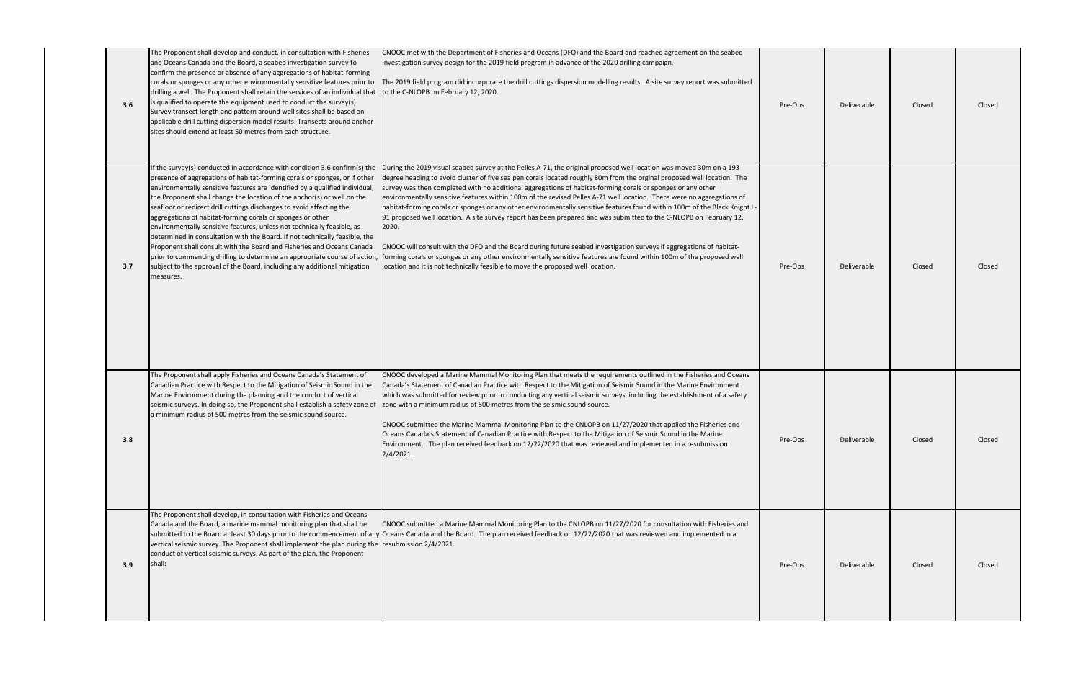| 3.6 | The Proponent shall develop and conduct, in consultation with Fisheries<br>and Oceans Canada and the Board, a seabed investigation survey to<br>confirm the presence or absence of any aggregations of habitat-forming<br>corals or sponges or any other environmentally sensitive features prior to<br>drilling a well. The Proponent shall retain the services of an individual that<br>is qualified to operate the equipment used to conduct the survey(s).<br>Survey transect length and pattern around well sites shall be based on<br>applicable drill cutting dispersion model results. Transects around anchor<br>sites should extend at least 50 metres from each structure.                                                                                                                                                                                  | CNOOC met with the Department of Fisheries and Oceans (DFO) and the Board and reached agreement on the seabed<br>investigation survey design for the 2019 field program in advance of the 2020 drilling campaign.<br>The 2019 field program did incorporate the drill cuttings dispersion modelling results. A site survey report was submitted<br>to the C-NLOPB on February 12, 2020.                                                                                                                                                                                                                                                                                                                                                                                                                                                                                                                                                                                                                                                                                                 | Pre-Ops | Deliverable | Closed | Closed |
|-----|------------------------------------------------------------------------------------------------------------------------------------------------------------------------------------------------------------------------------------------------------------------------------------------------------------------------------------------------------------------------------------------------------------------------------------------------------------------------------------------------------------------------------------------------------------------------------------------------------------------------------------------------------------------------------------------------------------------------------------------------------------------------------------------------------------------------------------------------------------------------|-----------------------------------------------------------------------------------------------------------------------------------------------------------------------------------------------------------------------------------------------------------------------------------------------------------------------------------------------------------------------------------------------------------------------------------------------------------------------------------------------------------------------------------------------------------------------------------------------------------------------------------------------------------------------------------------------------------------------------------------------------------------------------------------------------------------------------------------------------------------------------------------------------------------------------------------------------------------------------------------------------------------------------------------------------------------------------------------|---------|-------------|--------|--------|
| 3.7 | If the survey(s) conducted in accordance with condition 3.6 confirm(s) the<br>presence of aggregations of habitat-forming corals or sponges, or if other<br>environmentally sensitive features are identified by a qualified individual,<br>the Proponent shall change the location of the anchor(s) or well on the<br>seafloor or redirect drill cuttings discharges to avoid affecting the<br>aggregations of habitat-forming corals or sponges or other<br>environmentally sensitive features, unless not technically feasible, as<br>determined in consultation with the Board. If not technically feasible, the<br>Proponent shall consult with the Board and Fisheries and Oceans Canada<br>prior to commencing drilling to determine an appropriate course of action,<br>subject to the approval of the Board, including any additional mitigation<br>measures. | During the 2019 visual seabed survey at the Pelles A-71, the original proposed well location was moved 30m on a 193<br>degree heading to avoid cluster of five sea pen corals located roughly 80m from the orginal proposed well location. The<br>survey was then completed with no additional aggregations of habitat-forming corals or sponges or any other<br>environmentally sensitive features within 100m of the revised Pelles A-71 well location. There were no aggregations of<br>habitat-forming corals or sponges or any other environmentally sensitive features found within 100m of the Black Knight L-<br>91 proposed well location. A site survey report has been prepared and was submitted to the C-NLOPB on February 12,<br>2020.<br>CNOOC will consult with the DFO and the Board during future seabed investigation surveys if aggregations of habitat-<br>forming corals or sponges or any other environmentally sensitive features are found within 100m of the proposed well<br>location and it is not technically feasible to move the proposed well location. | Pre-Ops | Deliverable | Closed | Closed |
| 3.8 | The Proponent shall apply Fisheries and Oceans Canada's Statement of<br>Canadian Practice with Respect to the Mitigation of Seismic Sound in the<br>Marine Environment during the planning and the conduct of vertical<br>seismic surveys. In doing so, the Proponent shall establish a safety zone of<br>a minimum radius of 500 metres from the seismic sound source.                                                                                                                                                                                                                                                                                                                                                                                                                                                                                                | CNOOC developed a Marine Mammal Monitoring Plan that meets the requirements outlined in the Fisheries and Oceans<br>Canada's Statement of Canadian Practice with Respect to the Mitigation of Seismic Sound in the Marine Environment<br>which was submitted for review prior to conducting any vertical seismic surveys, including the establishment of a safety<br>zone with a minimum radius of 500 metres from the seismic sound source.<br>CNOOC submitted the Marine Mammal Monitoring Plan to the CNLOPB on 11/27/2020 that applied the Fisheries and<br>Oceans Canada's Statement of Canadian Practice with Respect to the Mitigation of Seismic Sound in the Marine<br>Environment. The plan received feedback on 12/22/2020 that was reviewed and implemented in a resubmission<br>$2/4/2021$ .                                                                                                                                                                                                                                                                               | Pre-Ops | Deliverable | Closed | Closed |
| 3.9 | The Proponent shall develop, in consultation with Fisheries and Oceans<br>Canada and the Board, a marine mammal monitoring plan that shall be<br>vertical seismic survey. The Proponent shall implement the plan during the resubmission 2/4/2021.<br>conduct of vertical seismic surveys. As part of the plan, the Proponent<br>shall:                                                                                                                                                                                                                                                                                                                                                                                                                                                                                                                                | CNOOC submitted a Marine Mammal Monitoring Plan to the CNLOPB on 11/27/2020 for consultation with Fisheries and<br>submitted to the Board at least 30 days prior to the commencement of any Oceans Canada and the Board. The plan received feedback on 12/22/2020 that was reviewed and implemented in a                                                                                                                                                                                                                                                                                                                                                                                                                                                                                                                                                                                                                                                                                                                                                                                | Pre-Ops | Deliverable | Closed | Closed |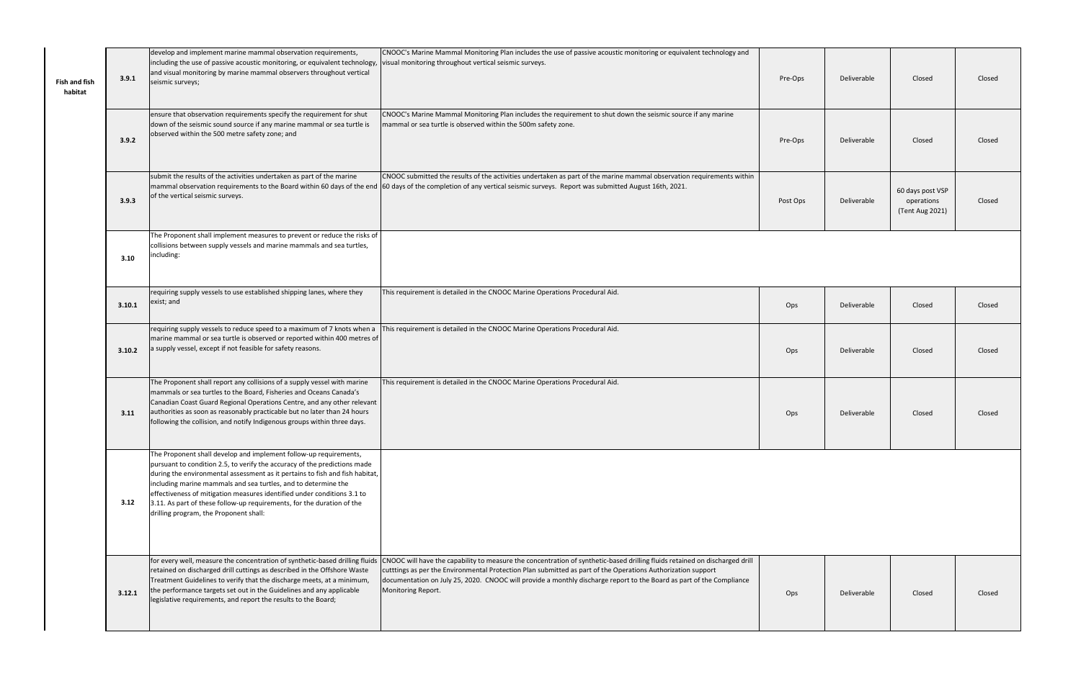| <b>Fish and fish</b><br>habitat | 3.9.1  | develop and implement marine mammal observation requirements,<br>including the use of passive acoustic monitoring, or equivalent technology,<br>and visual monitoring by marine mammal observers throughout vertical<br>seismic surveys;                                                                                                                                                                                                                                                        | CNOOC's Marine Mammal Monitoring Plan includes the use of passive acoustic monitoring or equivalent technology and<br>visual monitoring throughout vertical seismic surveys.                                                                                                                                                                                                              | Pre-Ops  | Deliverable | Closed                                            | Closed |
|---------------------------------|--------|-------------------------------------------------------------------------------------------------------------------------------------------------------------------------------------------------------------------------------------------------------------------------------------------------------------------------------------------------------------------------------------------------------------------------------------------------------------------------------------------------|-------------------------------------------------------------------------------------------------------------------------------------------------------------------------------------------------------------------------------------------------------------------------------------------------------------------------------------------------------------------------------------------|----------|-------------|---------------------------------------------------|--------|
|                                 | 3.9.2  | ensure that observation requirements specify the requirement for shut<br>down of the seismic sound source if any marine mammal or sea turtle is<br>observed within the 500 metre safety zone; and                                                                                                                                                                                                                                                                                               | CNOOC's Marine Mammal Monitoring Plan includes the requirement to shut down the seismic source if any marine<br>mammal or sea turtle is observed within the 500m safety zone.                                                                                                                                                                                                             | Pre-Ops  | Deliverable | Closed                                            | Closed |
|                                 | 3.9.3  | submit the results of the activities undertaken as part of the marine<br>mammal observation requirements to the Board within 60 days of the end<br>of the vertical seismic surveys.                                                                                                                                                                                                                                                                                                             | CNOOC submitted the results of the activities undertaken as part of the marine mammal observation requirements within<br>60 days of the completion of any vertical seismic surveys. Report was submitted August 16th, 2021.                                                                                                                                                               | Post Ops | Deliverable | 60 days post VSP<br>operations<br>(Tent Aug 2021) | Closed |
|                                 | 3.10   | The Proponent shall implement measures to prevent or reduce the risks of<br>collisions between supply vessels and marine mammals and sea turtles,<br>including:                                                                                                                                                                                                                                                                                                                                 |                                                                                                                                                                                                                                                                                                                                                                                           |          |             |                                                   |        |
|                                 | 3.10.1 | requiring supply vessels to use established shipping lanes, where they<br>exist; and                                                                                                                                                                                                                                                                                                                                                                                                            | This requirement is detailed in the CNOOC Marine Operations Procedural Aid.                                                                                                                                                                                                                                                                                                               | Ops      | Deliverable | Closed                                            | Closed |
|                                 |        | requiring supply vessels to reduce speed to a maximum of 7 knots when a<br>marine mammal or sea turtle is observed or reported within 400 metres of<br>3.10.2 a supply vessel, except if not feasible for safety reasons.                                                                                                                                                                                                                                                                       | This requirement is detailed in the CNOOC Marine Operations Procedural Aid.                                                                                                                                                                                                                                                                                                               | Ops      | Deliverable | Closed                                            | Closed |
|                                 | 3.11   | The Proponent shall report any collisions of a supply vessel with marine<br>mammals or sea turtles to the Board, Fisheries and Oceans Canada's<br>Canadian Coast Guard Regional Operations Centre, and any other relevant<br>authorities as soon as reasonably practicable but no later than 24 hours<br>following the collision, and notify Indigenous groups within three days.                                                                                                               | This requirement is detailed in the CNOOC Marine Operations Procedural Aid.                                                                                                                                                                                                                                                                                                               | Ops      | Deliverable | Closed                                            | Closed |
|                                 | 3.12   | The Proponent shall develop and implement follow-up requirements,<br>pursuant to condition 2.5, to verify the accuracy of the predictions made<br>during the environmental assessment as it pertains to fish and fish habitat,<br>including marine mammals and sea turtles, and to determine the<br>effectiveness of mitigation measures identified under conditions 3.1 to<br>3.11. As part of these follow-up requirements, for the duration of the<br>drilling program, the Proponent shall: |                                                                                                                                                                                                                                                                                                                                                                                           |          |             |                                                   |        |
|                                 | 3.12.1 | for every well, measure the concentration of synthetic-based drilling fluids<br>retained on discharged drill cuttings as described in the Offshore Waste<br>Treatment Guidelines to verify that the discharge meets, at a minimum,<br>the performance targets set out in the Guidelines and any applicable<br>legislative requirements, and report the results to the Board;                                                                                                                    | CNOOC will have the capability to measure the concentration of synthetic-based drilling fluids retained on discharged drill<br>cutttings as per the Environmental Protection Plan submitted as part of the Operations Authorization support<br>documentation on July 25, 2020. CNOOC will provide a monthly discharge report to the Board as part of the Compliance<br>Monitoring Report. | Ops      | Deliverable | Closed                                            | Closed |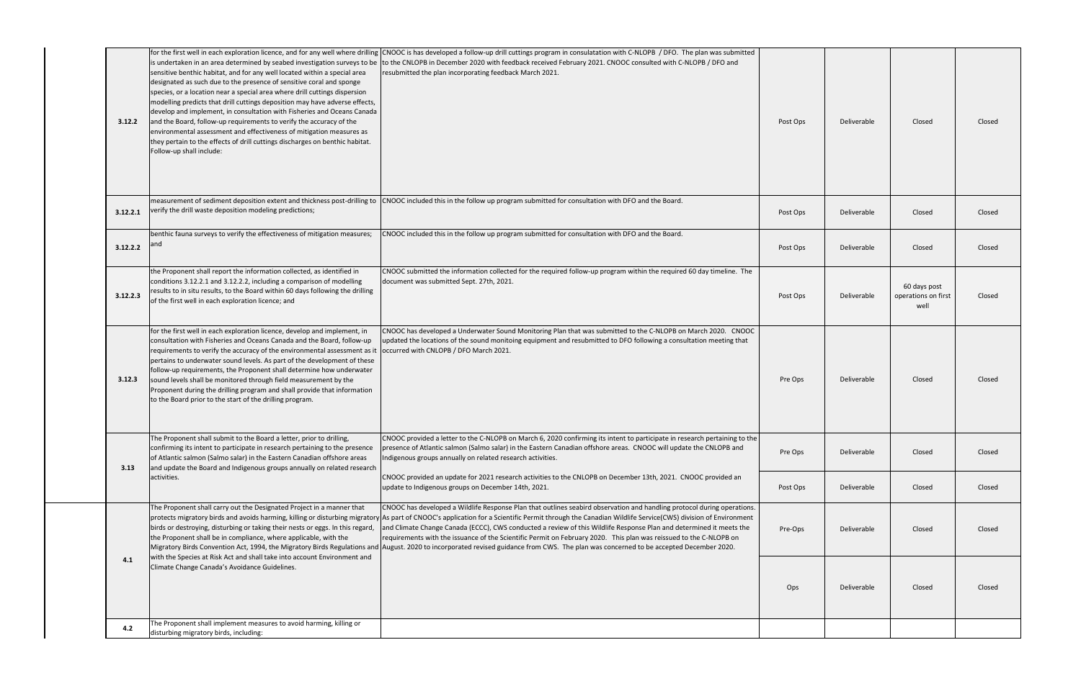| 3.12.2   | sensitive benthic habitat, and for any well located within a special area<br>designated as such due to the presence of sensitive coral and sponge<br>species, or a location near a special area where drill cuttings dispersion<br>modelling predicts that drill cuttings deposition may have adverse effects,<br>develop and implement, in consultation with Fisheries and Oceans Canada<br>and the Board, follow-up requirements to verify the accuracy of the<br>environmental assessment and effectiveness of mitigation measures as<br>they pertain to the effects of drill cuttings discharges on benthic habitat.<br>Follow-up shall include: | for the first well in each exploration licence, and for any well where drilling CNOOC is has developed a follow-up drill cuttings program in consulatation with C-NLOPB / DFO. The plan was submitted<br>is undertaken in an area determined by seabed investigation surveys to be to the CNLOPB in December 2020 with feedback received February 2021. CNOOC consulted with C-NLOPB / DFO and<br>resubmitted the plan incorporating feedback March 2021.                                                                                                                                                                                                                                                                                                                | Post Ops | Deliverable | Closed                                      | Closed |
|----------|------------------------------------------------------------------------------------------------------------------------------------------------------------------------------------------------------------------------------------------------------------------------------------------------------------------------------------------------------------------------------------------------------------------------------------------------------------------------------------------------------------------------------------------------------------------------------------------------------------------------------------------------------|--------------------------------------------------------------------------------------------------------------------------------------------------------------------------------------------------------------------------------------------------------------------------------------------------------------------------------------------------------------------------------------------------------------------------------------------------------------------------------------------------------------------------------------------------------------------------------------------------------------------------------------------------------------------------------------------------------------------------------------------------------------------------|----------|-------------|---------------------------------------------|--------|
| 3.12.2.1 | measurement of sediment deposition extent and thickness post-drilling to<br>verify the drill waste deposition modeling predictions;                                                                                                                                                                                                                                                                                                                                                                                                                                                                                                                  | CNOOC included this in the follow up program submitted for consultation with DFO and the Board.                                                                                                                                                                                                                                                                                                                                                                                                                                                                                                                                                                                                                                                                          | Post Ops | Deliverable | Closed                                      | Closed |
| 3.12.2.2 | benthic fauna surveys to verify the effectiveness of mitigation measures;<br>and                                                                                                                                                                                                                                                                                                                                                                                                                                                                                                                                                                     | CNOOC included this in the follow up program submitted for consultation with DFO and the Board.                                                                                                                                                                                                                                                                                                                                                                                                                                                                                                                                                                                                                                                                          | Post Ops | Deliverable | Closed                                      | Closed |
| 3.12.2.3 | the Proponent shall report the information collected, as identified in<br>conditions 3.12.2.1 and 3.12.2.2, including a comparison of modelling<br>results to in situ results, to the Board within 60 days following the drilling<br>of the first well in each exploration licence; and                                                                                                                                                                                                                                                                                                                                                              | CNOOC submitted the information collected for the required follow-up program within the required 60 day timeline. The<br>document was submitted Sept. 27th, 2021.                                                                                                                                                                                                                                                                                                                                                                                                                                                                                                                                                                                                        | Post Ops | Deliverable | 60 days post<br>operations on first<br>well | Closed |
| 3.12.3   | for the first well in each exploration licence, develop and implement, in<br>consultation with Fisheries and Oceans Canada and the Board, follow-up<br>requirements to verify the accuracy of the environmental assessment as it loccurred with CNLOPB / DFO March 2021.<br>pertains to underwater sound levels. As part of the development of these<br>follow-up requirements, the Proponent shall determine how underwater<br>sound levels shall be monitored through field measurement by the<br>Proponent during the drilling program and shall provide that information<br>to the Board prior to the start of the drilling program.             | CNOOC has developed a Underwater Sound Monitoring Plan that was submitted to the C-NLOPB on March 2020. CNOOC<br>updated the locations of the sound monitoing equipment and resubmitted to DFO following a consultation meeting that                                                                                                                                                                                                                                                                                                                                                                                                                                                                                                                                     | Pre Ops  | Deliverable | Closed                                      | Closed |
| 3.13     | The Proponent shall submit to the Board a letter, prior to drilling,<br>confirming its intent to participate in research pertaining to the presence<br>of Atlantic salmon (Salmo salar) in the Eastern Canadian offshore areas<br>and update the Board and Indigenous groups annually on related research                                                                                                                                                                                                                                                                                                                                            | CNOOC provided a letter to the C-NLOPB on March 6, 2020 confirming its intent to participate in research pertaining to the<br>presence of Atlantic salmon (Salmo salar) in the Eastern Canadian offshore areas. CNOOC will update the CNLOPB and<br>Indigenous groups annually on related research activities.                                                                                                                                                                                                                                                                                                                                                                                                                                                           | Pre Ops  | Deliverable | Closed                                      | Closed |
|          | activities.                                                                                                                                                                                                                                                                                                                                                                                                                                                                                                                                                                                                                                          | CNOOC provided an update for 2021 research activities to the CNLOPB on December 13th, 2021. CNOOC provided an<br>update to Indigenous groups on December 14th, 2021.                                                                                                                                                                                                                                                                                                                                                                                                                                                                                                                                                                                                     | Post Ops | Deliverable | Closed                                      | Closed |
|          | The Proponent shall carry out the Designated Project in a manner that<br>birds or destroying, disturbing or taking their nests or eggs. In this regard,<br>the Proponent shall be in compliance, where applicable, with the                                                                                                                                                                                                                                                                                                                                                                                                                          | CNOOC has developed a Wildlife Response Plan that outlines seabird observation and handling protocol during operations.<br>protects migratory birds and avoids harming, killing or disturbing migratory As part of CNOOC's application for a Scientific Permit through the Canadian Wildlife Service(CWS) division of Environment<br>and Climate Change Canada (ECCC), CWS conducted a review of this Wildlife Response Plan and determined it meets the<br>requirements with the issuance of the Scientific Permit on February 2020. This plan was reissued to the C-NLOPB on<br>Migratory Birds Convention Act, 1994, the Migratory Birds Regulations and August. 2020 to incorporated revised guidance from CWS. The plan was concerned to be accepted December 2020. | Pre-Ops  | Deliverable | Closed                                      | Closed |
| 4.1      | with the Species at Risk Act and shall take into account Environment and<br>Climate Change Canada's Avoidance Guidelines.                                                                                                                                                                                                                                                                                                                                                                                                                                                                                                                            |                                                                                                                                                                                                                                                                                                                                                                                                                                                                                                                                                                                                                                                                                                                                                                          | Ops      | Deliverable | Closed                                      | Closed |
| 4.2      | The Proponent shall implement measures to avoid harming, killing or<br>disturbing migratory birds, including:                                                                                                                                                                                                                                                                                                                                                                                                                                                                                                                                        |                                                                                                                                                                                                                                                                                                                                                                                                                                                                                                                                                                                                                                                                                                                                                                          |          |             |                                             |        |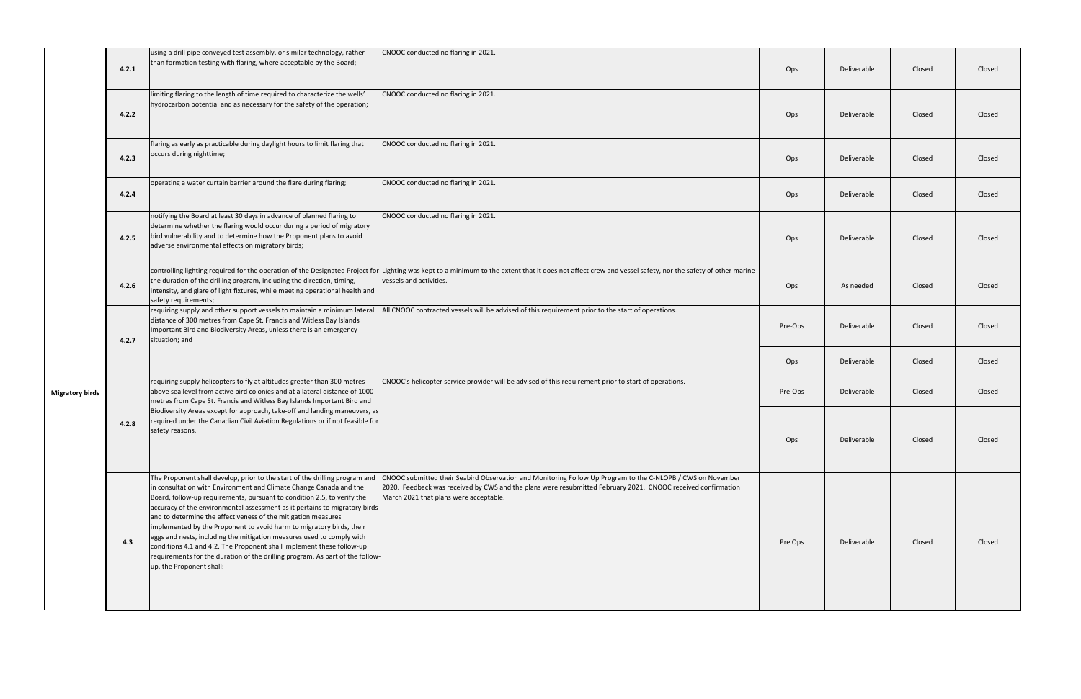|                        | 4.2.1 | using a drill pipe conveyed test assembly, or similar technology, rather<br>than formation testing with flaring, where acceptable by the Board;                                                                                                                                                                                                                                                                                                                                                                                                                                                                                                                                                                    | CNOOC conducted no flaring in 2021.                                                                                                                                                                                                                                   | Ops     | Deliverable | Closed | Closed |
|------------------------|-------|--------------------------------------------------------------------------------------------------------------------------------------------------------------------------------------------------------------------------------------------------------------------------------------------------------------------------------------------------------------------------------------------------------------------------------------------------------------------------------------------------------------------------------------------------------------------------------------------------------------------------------------------------------------------------------------------------------------------|-----------------------------------------------------------------------------------------------------------------------------------------------------------------------------------------------------------------------------------------------------------------------|---------|-------------|--------|--------|
|                        | 4.2.2 | limiting flaring to the length of time required to characterize the wells'<br>hydrocarbon potential and as necessary for the safety of the operation;                                                                                                                                                                                                                                                                                                                                                                                                                                                                                                                                                              | CNOOC conducted no flaring in 2021.                                                                                                                                                                                                                                   | Ops     | Deliverable | Closed | Closed |
|                        | 4.2.3 | flaring as early as practicable during daylight hours to limit flaring that<br>occurs during nighttime;                                                                                                                                                                                                                                                                                                                                                                                                                                                                                                                                                                                                            | CNOOC conducted no flaring in 2021.                                                                                                                                                                                                                                   | Ops     | Deliverable | Closed | Closed |
|                        | 4.2.4 | operating a water curtain barrier around the flare during flaring;                                                                                                                                                                                                                                                                                                                                                                                                                                                                                                                                                                                                                                                 | CNOOC conducted no flaring in 2021.                                                                                                                                                                                                                                   | Ops     | Deliverable | Closed | Closed |
|                        | 4.2.5 | notifying the Board at least 30 days in advance of planned flaring to<br>determine whether the flaring would occur during a period of migratory<br>bird vulnerability and to determine how the Proponent plans to avoid<br>adverse environmental effects on migratory birds;                                                                                                                                                                                                                                                                                                                                                                                                                                       | CNOOC conducted no flaring in 2021.                                                                                                                                                                                                                                   | Ops     | Deliverable | Closed | Closed |
|                        | 4.2.6 | the duration of the drilling program, including the direction, timing,<br>intensity, and glare of light fixtures, while meeting operational health and<br>safety requirements;                                                                                                                                                                                                                                                                                                                                                                                                                                                                                                                                     | controlling lighting required for the operation of the Designated Project for Lighting was kept to a minimum to the extent that it does not affect crew and vessel safety, nor the safety of other marine<br>vessels and activities.                                  | Ops     | As needed   | Closed | Closed |
|                        | 4.2.7 | requiring supply and other support vessels to maintain a minimum lateral<br>distance of 300 metres from Cape St. Francis and Witless Bay Islands<br>Important Bird and Biodiversity Areas, unless there is an emergency<br>situation; and                                                                                                                                                                                                                                                                                                                                                                                                                                                                          | All CNOOC contracted vessels will be advised of this requirement prior to the start of operations.                                                                                                                                                                    | Pre-Ops | Deliverable | Closed | Closed |
|                        |       |                                                                                                                                                                                                                                                                                                                                                                                                                                                                                                                                                                                                                                                                                                                    |                                                                                                                                                                                                                                                                       | Ops     | Deliverable | Closed | Closed |
| <b>Migratory birds</b> |       | requiring supply helicopters to fly at altitudes greater than 300 metres<br>above sea level from active bird colonies and at a lateral distance of 1000<br>metres from Cape St. Francis and Witless Bay Islands Important Bird and                                                                                                                                                                                                                                                                                                                                                                                                                                                                                 | CNOOC's helicopter service provider will be advised of this requirement prior to start of operations.                                                                                                                                                                 | Pre-Ops | Deliverable | Closed | Closed |
|                        | 4.2.8 | Biodiversity Areas except for approach, take-off and landing maneuvers, as<br>required under the Canadian Civil Aviation Regulations or if not feasible for<br>safety reasons.                                                                                                                                                                                                                                                                                                                                                                                                                                                                                                                                     |                                                                                                                                                                                                                                                                       | Ops     | Deliverable | Closed | Closed |
|                        | 4.3   | The Proponent shall develop, prior to the start of the drilling program and<br>in consultation with Environment and Climate Change Canada and the<br>Board, follow-up requirements, pursuant to condition 2.5, to verify the<br>accuracy of the environmental assessment as it pertains to migratory birds<br>and to determine the effectiveness of the mitigation measures<br>implemented by the Proponent to avoid harm to migratory birds, their<br>eggs and nests, including the mitigation measures used to comply with<br>conditions 4.1 and 4.2. The Proponent shall implement these follow-up<br>requirements for the duration of the drilling program. As part of the follow-<br>up, the Proponent shall: | CNOOC submitted their Seabird Observation and Monitoring Follow Up Program to the C-NLOPB / CWS on November<br>2020. Feedback was received by CWS and the plans were resubmitted February 2021. CNOOC received confirmation<br>March 2021 that plans were acceptable. | Pre Ops | Deliverable | Closed | Closed |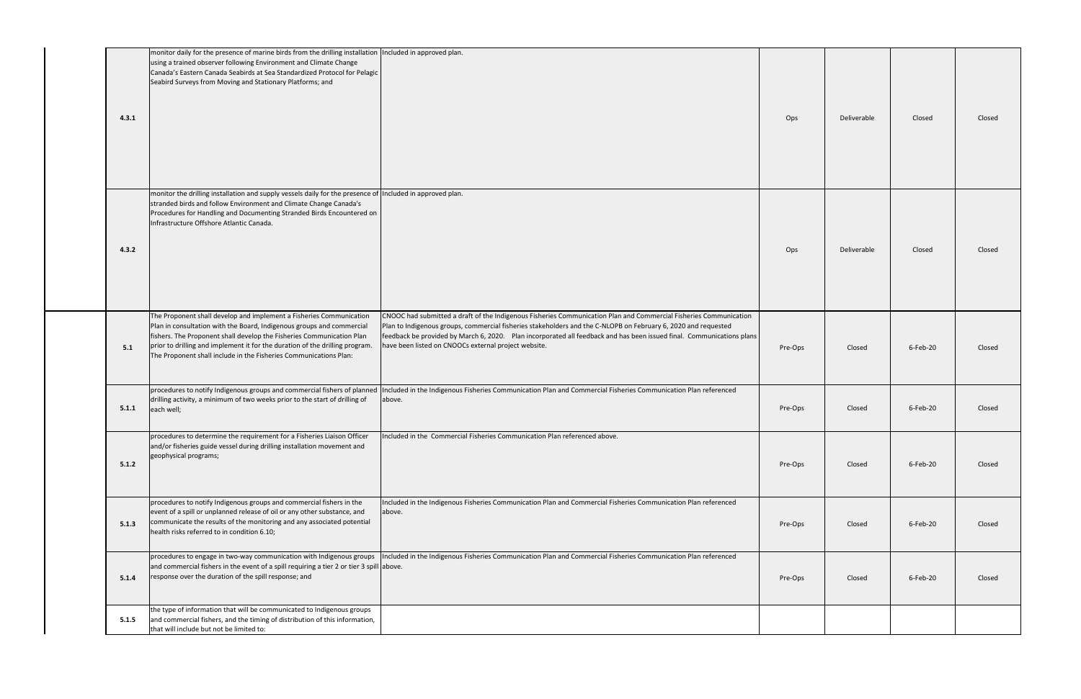| 4.3.1 | monitor daily for the presence of marine birds from the drilling installation Included in approved plan.<br>using a trained observer following Environment and Climate Change<br>Canada's Eastern Canada Seabirds at Sea Standardized Protocol for Pelagic<br>Seabird Surveys from Moving and Stationary Platforms; and                                                    |                                                                                                                                                                                                                                                                                                                                                                                                                      | Ops     | Deliverable | Closed   | Closed |
|-------|----------------------------------------------------------------------------------------------------------------------------------------------------------------------------------------------------------------------------------------------------------------------------------------------------------------------------------------------------------------------------|----------------------------------------------------------------------------------------------------------------------------------------------------------------------------------------------------------------------------------------------------------------------------------------------------------------------------------------------------------------------------------------------------------------------|---------|-------------|----------|--------|
| 4.3.2 | monitor the drilling installation and supply vessels daily for the presence of Included in approved plan.<br>stranded birds and follow Environment and Climate Change Canada's<br>Procedures for Handling and Documenting Stranded Birds Encountered on<br>Infrastructure Offshore Atlantic Canada.                                                                        |                                                                                                                                                                                                                                                                                                                                                                                                                      | Ops     | Deliverable | Closed   | Closed |
| 5.1   | The Proponent shall develop and implement a Fisheries Communication<br>Plan in consultation with the Board, Indigenous groups and commercial<br>fishers. The Proponent shall develop the Fisheries Communication Plan<br>prior to drilling and implement it for the duration of the drilling program.<br>The Proponent shall include in the Fisheries Communications Plan: | CNOOC had submitted a draft of the Indigenous Fisheries Communication Plan and Commercial Fisheries Communication<br>Plan to Indigenous groups, commercial fisheries stakeholders and the C-NLOPB on February 6, 2020 and requested<br>feedback be provided by March 6, 2020. Plan incorporated all feedback and has been issued final. Communications plans<br>have been listed on CNOOCs external project website. | Pre-Ops | Closed      | 6-Feb-20 | Closed |
| 5.1.1 | procedures to notify Indigenous groups and commercial fishers of planned<br>drilling activity, a minimum of two weeks prior to the start of drilling of<br>each well;                                                                                                                                                                                                      | Included in the Indigenous Fisheries Communication Plan and Commercial Fisheries Communication Plan referenced<br>above.                                                                                                                                                                                                                                                                                             | Pre-Ops | Closed      | 6-Feb-20 | Closed |
| 5.1.2 | procedures to determine the requirement for a Fisheries Liaison Officer<br>and/or fisheries guide vessel during drilling installation movement and<br>geophysical programs;                                                                                                                                                                                                | Included in the Commercial Fisheries Communication Plan referenced above.                                                                                                                                                                                                                                                                                                                                            | Pre-Ops | Closed      | 6-Feb-20 | Closed |
| 5.1.3 | procedures to notify Indigenous groups and commercial fishers in the<br>event of a spill or unplanned release of oil or any other substance, and<br>communicate the results of the monitoring and any associated potential<br>health risks referred to in condition 6.10;                                                                                                  | Included in the Indigenous Fisheries Communication Plan and Commercial Fisheries Communication Plan referenced<br>above.                                                                                                                                                                                                                                                                                             | Pre-Ops | Closed      | 6-Feb-20 | Closed |
| 5.1.4 | procedures to engage in two-way communication with Indigenous groups<br>and commercial fishers in the event of a spill requiring a tier 2 or tier 3 spill above.<br>response over the duration of the spill response; and                                                                                                                                                  | Included in the Indigenous Fisheries Communication Plan and Commercial Fisheries Communication Plan referenced                                                                                                                                                                                                                                                                                                       | Pre-Ops | Closed      | 6-Feb-20 | Closed |
| 5.1.5 | the type of information that will be communicated to Indigenous groups<br>and commercial fishers, and the timing of distribution of this information,<br>that will include but not be limited to:                                                                                                                                                                          |                                                                                                                                                                                                                                                                                                                                                                                                                      |         |             |          |        |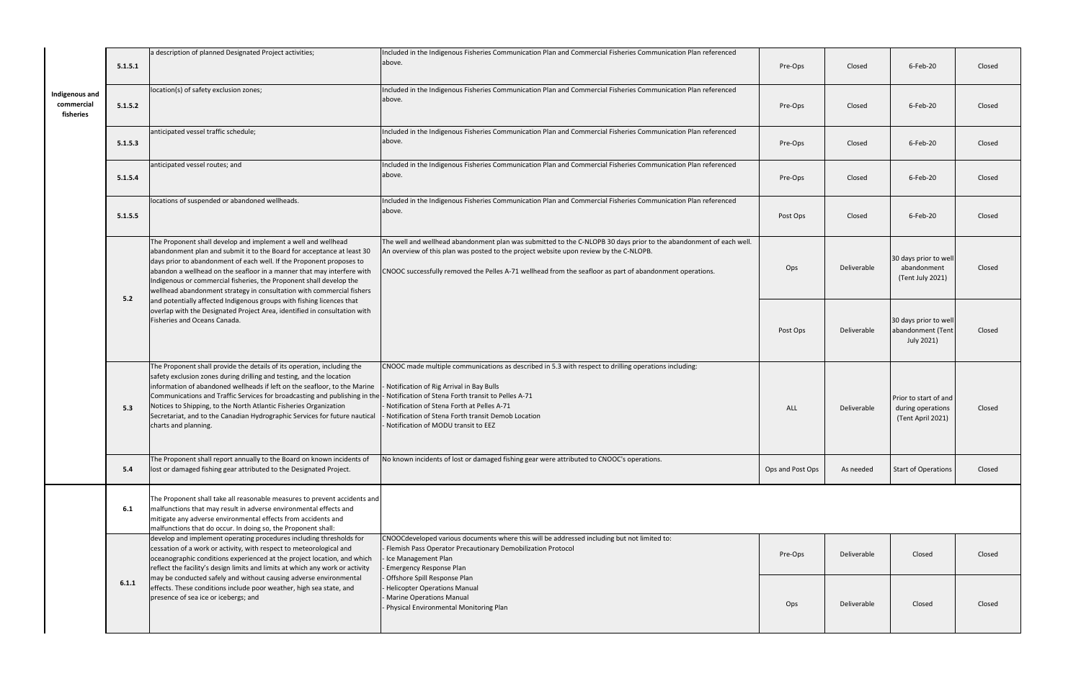|                                           | 5.1.5.1 | a description of planned Designated Project activities;                                                                                                                                                                                                                                                                                                                                                                                                                                                                                     | Included in the Indigenous Fisheries Communication Plan and Commercial Fisheries Communication Plan referenced<br>above.                                                                                                                                                                                                                                                | Pre-Ops          | Closed      | 6-Feb-20                                                        | Closed |
|-------------------------------------------|---------|---------------------------------------------------------------------------------------------------------------------------------------------------------------------------------------------------------------------------------------------------------------------------------------------------------------------------------------------------------------------------------------------------------------------------------------------------------------------------------------------------------------------------------------------|-------------------------------------------------------------------------------------------------------------------------------------------------------------------------------------------------------------------------------------------------------------------------------------------------------------------------------------------------------------------------|------------------|-------------|-----------------------------------------------------------------|--------|
| Indigenous and<br>commercial<br>fisheries | 5.1.5.2 | location(s) of safety exclusion zones;                                                                                                                                                                                                                                                                                                                                                                                                                                                                                                      | Included in the Indigenous Fisheries Communication Plan and Commercial Fisheries Communication Plan referenced<br>above.                                                                                                                                                                                                                                                | Pre-Ops          | Closed      | 6-Feb-20                                                        | Closed |
|                                           | 5.1.5.3 | anticipated vessel traffic schedule;                                                                                                                                                                                                                                                                                                                                                                                                                                                                                                        | Included in the Indigenous Fisheries Communication Plan and Commercial Fisheries Communication Plan referenced<br>above.                                                                                                                                                                                                                                                | Pre-Ops          | Closed      | 6-Feb-20                                                        | Closed |
|                                           | 5.1.5.4 | anticipated vessel routes; and                                                                                                                                                                                                                                                                                                                                                                                                                                                                                                              | Included in the Indigenous Fisheries Communication Plan and Commercial Fisheries Communication Plan referenced<br>above.                                                                                                                                                                                                                                                | Pre-Ops          | Closed      | 6-Feb-20                                                        | Closed |
|                                           | 5.1.5.5 | locations of suspended or abandoned wellheads.                                                                                                                                                                                                                                                                                                                                                                                                                                                                                              | Included in the Indigenous Fisheries Communication Plan and Commercial Fisheries Communication Plan referenced<br>above.                                                                                                                                                                                                                                                | Post Ops         | Closed      | 6-Feb-20                                                        | Closed |
|                                           | 5.2     | The Proponent shall develop and implement a well and wellhead<br>abandonment plan and submit it to the Board for acceptance at least 30<br>days prior to abandonment of each well. If the Proponent proposes to<br>abandon a wellhead on the seafloor in a manner that may interfere with<br>Indigenous or commercial fisheries, the Proponent shall develop the<br>wellhead abandonment strategy in consultation with commercial fishers<br>and potentially affected Indigenous groups with fishing licences that                          | The well and wellhead abandonment plan was submitted to the C-NLOPB 30 days prior to the abandonment of each well.<br>An overview of this plan was posted to the project website upon review by the C-NLOPB.<br>CNOOC successfully removed the Pelles A-71 wellhead from the seafloor as part of abandonment operations.                                                | Ops              | Deliverable | 30 days prior to well<br>abandonment<br>(Tent July 2021)        | Closed |
|                                           |         | overlap with the Designated Project Area, identified in consultation with<br>Fisheries and Oceans Canada.                                                                                                                                                                                                                                                                                                                                                                                                                                   |                                                                                                                                                                                                                                                                                                                                                                         | Post Ops         | Deliverable | 30 days prior to well<br>abandonment (Tent<br>July 2021)        | Closed |
|                                           | 5.3     | The Proponent shall provide the details of its operation, including the<br>safety exclusion zones during drilling and testing, and the location<br>information of abandoned wellheads if left on the seafloor, to the Marine<br>Communications and Traffic Services for broadcasting and publishing in the  - Notification of Stena Forth transit to Pelles A-71<br>Notices to Shipping, to the North Atlantic Fisheries Organization<br>Secretariat, and to the Canadian Hydrographic Services for future nautical<br>charts and planning. | CNOOC made multiple communications as described in 5.3 with respect to drilling operations including:<br>Notification of Rig Arrival in Bay Bulls<br>Notification of Stena Forth at Pelles A-71<br>Notification of Stena Forth transit Demob Location<br>Notification of MODU transit to EEZ                                                                            | <b>ALL</b>       | Deliverable | Prior to start of and<br>during operations<br>(Tent April 2021) | Closed |
|                                           | 5.4     | The Proponent shall report annually to the Board on known incidents of<br>lost or damaged fishing gear attributed to the Designated Project.                                                                                                                                                                                                                                                                                                                                                                                                | No known incidents of lost or damaged fishing gear were attributed to CNOOC's operations.                                                                                                                                                                                                                                                                               | Ops and Post Ops | As needed   | Start of Operations                                             | Closed |
|                                           | 6.1     | The Proponent shall take all reasonable measures to prevent accidents and<br>malfunctions that may result in adverse environmental effects and<br>mitigate any adverse environmental effects from accidents and<br>malfunctions that do occur. In doing so, the Proponent shall:                                                                                                                                                                                                                                                            |                                                                                                                                                                                                                                                                                                                                                                         |                  |             |                                                                 |        |
|                                           | 6.1.1   | develop and implement operating procedures including thresholds for<br>cessation of a work or activity, with respect to meteorological and<br>oceanographic conditions experienced at the project location, and which<br>reflect the facility's design limits and limits at which any work or activity                                                                                                                                                                                                                                      | CNOOCdeveloped various documents where this will be addressed including but not limited to:<br>Flemish Pass Operator Precautionary Demobilization Protocol<br>Ice Management Plan<br><b>Emergency Response Plan</b><br>Offshore Spill Response Plan<br><b>Helicopter Operations Manual</b><br><b>Marine Operations Manual</b><br>Physical Environmental Monitoring Plan | Pre-Ops          | Deliverable | Closed                                                          | Closed |
|                                           |         | may be conducted safely and without causing adverse environmental<br>effects. These conditions include poor weather, high sea state, and<br>presence of sea ice or icebergs; and                                                                                                                                                                                                                                                                                                                                                            |                                                                                                                                                                                                                                                                                                                                                                         | Ops              | Deliverable | Closed                                                          | Closed |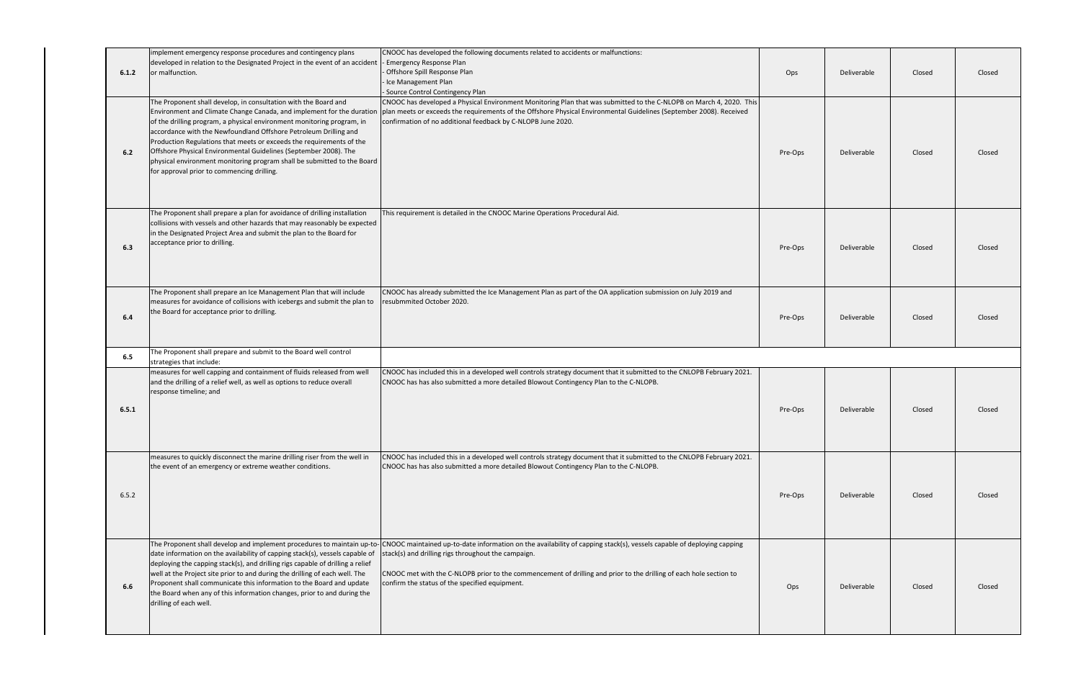| 6.1.2 | implement emergency response procedures and contingency plans<br>developed in relation to the Designated Project in the event of an accident<br>or malfunction.                                                                                                                                                                                                                                                                                                                                       | CNOOC has developed the following documents related to accidents or malfunctions:<br>- Emergency Response Plan<br>- Offshore Spill Response Plan<br>- Ice Management Plan<br>- Source Control Contingency Plan                                                                                                                                                                    | Ops     | Deliverable | Closed | Closed |
|-------|-------------------------------------------------------------------------------------------------------------------------------------------------------------------------------------------------------------------------------------------------------------------------------------------------------------------------------------------------------------------------------------------------------------------------------------------------------------------------------------------------------|-----------------------------------------------------------------------------------------------------------------------------------------------------------------------------------------------------------------------------------------------------------------------------------------------------------------------------------------------------------------------------------|---------|-------------|--------|--------|
| 6.2   | The Proponent shall develop, in consultation with the Board and<br>of the drilling program, a physical environment monitoring program, in<br>accordance with the Newfoundland Offshore Petroleum Drilling and<br>Production Regulations that meets or exceeds the requirements of the<br>Offshore Physical Environmental Guidelines (September 2008). The<br>physical environment monitoring program shall be submitted to the Board<br>for approval prior to commencing drilling.                    | CNOOC has developed a Physical Environment Monitoring Plan that was submitted to the C-NLOPB on March 4, 2020. This<br>Environment and Climate Change Canada, and implement for the duration  plan meets or exceeds the requirements of the Offshore Physical Environmental Guidelines (September 2008). Received<br>confirmation of no additional feedback by C-NLOPB June 2020. | Pre-Ops | Deliverable | Closed | Closed |
| 6.3   | The Proponent shall prepare a plan for avoidance of drilling installation<br>collisions with vessels and other hazards that may reasonably be expected<br>in the Designated Project Area and submit the plan to the Board for<br>acceptance prior to drilling.                                                                                                                                                                                                                                        | This requirement is detailed in the CNOOC Marine Operations Procedural Aid.                                                                                                                                                                                                                                                                                                       | Pre-Ops | Deliverable | Closed | Closed |
| 6.4   | The Proponent shall prepare an Ice Management Plan that will include<br>measures for avoidance of collisions with icebergs and submit the plan to<br>the Board for acceptance prior to drilling.                                                                                                                                                                                                                                                                                                      | CNOOC has already submitted the Ice Management Plan as part of the OA application submission on July 2019 and<br>resubmmited October 2020.                                                                                                                                                                                                                                        | Pre-Ops | Deliverable | Closed | Closed |
| 6.5   | The Proponent shall prepare and submit to the Board well control<br>strategies that include:                                                                                                                                                                                                                                                                                                                                                                                                          |                                                                                                                                                                                                                                                                                                                                                                                   |         |             |        |        |
| 6.5.1 | measures for well capping and containment of fluids released from well<br>and the drilling of a relief well, as well as options to reduce overall<br>response timeline; and                                                                                                                                                                                                                                                                                                                           | CNOOC has included this in a developed well controls strategy document that it submitted to the CNLOPB February 2021.<br>CNOOC has has also submitted a more detailed Blowout Contingency Plan to the C-NLOPB.                                                                                                                                                                    | Pre-Ops | Deliverable | Closed | Closed |
| 6.5.2 | measures to quickly disconnect the marine drilling riser from the well in<br>the event of an emergency or extreme weather conditions.                                                                                                                                                                                                                                                                                                                                                                 | CNOOC has included this in a developed well controls strategy document that it submitted to the CNLOPB February 2021.<br>CNOOC has has also submitted a more detailed Blowout Contingency Plan to the C-NLOPB.                                                                                                                                                                    | Pre-Ops | Deliverable | Closed | Closed |
| 6.6   | The Proponent shall develop and implement procedures to maintain up-to-<br>date information on the availability of capping stack(s), vessels capable of<br>deploying the capping stack(s), and drilling rigs capable of drilling a relief<br>well at the Project site prior to and during the drilling of each well. The<br>Proponent shall communicate this information to the Board and update<br>the Board when any of this information changes, prior to and during the<br>drilling of each well. | CNOOC maintained up-to-date information on the availability of capping stack(s), vessels capable of deploying capping<br>stack(s) and drilling rigs throughout the campaign.<br>CNOOC met with the C-NLOPB prior to the commencement of drilling and prior to the drilling of each hole section to<br>confirm the status of the specified equipment.                              | Ops     | Deliverable | Closed | Closed |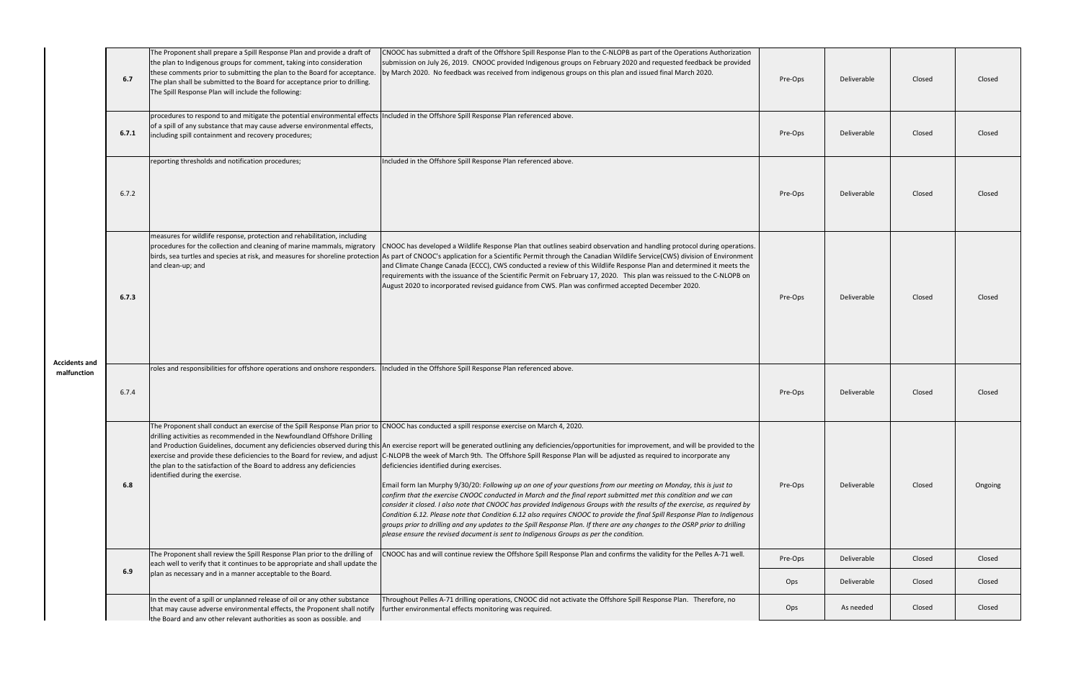| <b>Accidents and</b><br>malfunction | 6.7   | The Proponent shall prepare a Spill Response Plan and provide a draft of<br>the plan to Indigenous groups for comment, taking into consideration<br>these comments prior to submitting the plan to the Board for acceptance.<br>The plan shall be submitted to the Board for acceptance prior to drilling.<br>The Spill Response Plan will include the following: | CNOOC has submitted a draft of the Offshore Spill Response Plan to the C-NLOPB as part of the Operations Authorization<br>submission on July 26, 2019. CNOOC provided Indigenous groups on February 2020 and requested feedback be provided<br>by March 2020. No feedback was received from indigenous groups on this plan and issued final March 2020.                                                                                                                                                                                                                                                                                                                                                                                                                                                                                                                                                                                                                                                                                                                                                                                                                     | Pre-Ops | Deliverable | Closed | Closed  |
|-------------------------------------|-------|-------------------------------------------------------------------------------------------------------------------------------------------------------------------------------------------------------------------------------------------------------------------------------------------------------------------------------------------------------------------|-----------------------------------------------------------------------------------------------------------------------------------------------------------------------------------------------------------------------------------------------------------------------------------------------------------------------------------------------------------------------------------------------------------------------------------------------------------------------------------------------------------------------------------------------------------------------------------------------------------------------------------------------------------------------------------------------------------------------------------------------------------------------------------------------------------------------------------------------------------------------------------------------------------------------------------------------------------------------------------------------------------------------------------------------------------------------------------------------------------------------------------------------------------------------------|---------|-------------|--------|---------|
|                                     | 6.7.1 | procedures to respond to and mitigate the potential environmental effects Included in the Offshore Spill Response Plan referenced above.<br>of a spill of any substance that may cause adverse environmental effects,<br>including spill containment and recovery procedures;                                                                                     |                                                                                                                                                                                                                                                                                                                                                                                                                                                                                                                                                                                                                                                                                                                                                                                                                                                                                                                                                                                                                                                                                                                                                                             | Pre-Ops | Deliverable | Closed | Closed  |
|                                     | 6.7.2 | reporting thresholds and notification procedures;                                                                                                                                                                                                                                                                                                                 | Included in the Offshore Spill Response Plan referenced above.                                                                                                                                                                                                                                                                                                                                                                                                                                                                                                                                                                                                                                                                                                                                                                                                                                                                                                                                                                                                                                                                                                              | Pre-Ops | Deliverable | Closed | Closed  |
|                                     | 6.7.3 | measures for wildlife response, protection and rehabilitation, including<br>and clean-up; and                                                                                                                                                                                                                                                                     | procedures for the collection and cleaning of marine mammals, migratory CNOOC has developed a Wildlife Response Plan that outlines seabird observation and handling protocol during operations.<br>birds, sea turtles and species at risk, and measures for shoreline protection As part of CNOOC's application for a Scientific Permit through the Canadian Wildlife Service(CWS) division of Environment<br>and Climate Change Canada (ECCC), CWS conducted a review of this Wildlife Response Plan and determined it meets the<br>requirements with the issuance of the Scientific Permit on February 17, 2020. This plan was reissued to the C-NLOPB on<br>August 2020 to incorporated revised guidance from CWS. Plan was confirmed accepted December 2020.                                                                                                                                                                                                                                                                                                                                                                                                            | Pre-Ops | Deliverable | Closed | Closed  |
|                                     | 6.7.4 | roles and responsibilities for offshore operations and onshore responders.                                                                                                                                                                                                                                                                                        | Included in the Offshore Spill Response Plan referenced above.                                                                                                                                                                                                                                                                                                                                                                                                                                                                                                                                                                                                                                                                                                                                                                                                                                                                                                                                                                                                                                                                                                              | Pre-Ops | Deliverable | Closed | Closed  |
|                                     | 6.8   | The Proponent shall conduct an exercise of the Spill Response Plan prior to CNOOC has conducted a spill response exercise on March 4, 2020.<br>drilling activities as recommended in the Newfoundland Offshore Drilling<br>the plan to the satisfaction of the Board to address any deficiencies<br>identified during the exercise.                               | and Production Guidelines, document any deficiencies observed during this An exercise report will be generated outlining any deficiencies/opportunities for improvement, and will be provided to the<br>exercise and provide these deficiencies to the Board for review, and adjust C-NLOPB the week of March 9th. The Offshore Spill Response Plan will be adjusted as required to incorporate any<br>deficiencies identified during exercises.<br>Email form Ian Murphy 9/30/20: Following up on one of your questions from our meeting on Monday, this is just to<br>confirm that the exercise CNOOC conducted in March and the final report submitted met this condition and we can<br>consider it closed. I also note that CNOOC has provided Indigenous Groups with the results of the exercise, as required by<br>Condition 6.12. Please note that Condition 6.12 also requires CNOOC to provide the final Spill Response Plan to Indigenous<br>groups prior to drilling and any updates to the Spill Response Plan. If there are any changes to the OSRP prior to drilling<br>please ensure the revised document is sent to Indigenous Groups as per the condition. | Pre-Ops | Deliverable | Closed | Ongoing |
|                                     | 6.9   | The Proponent shall review the Spill Response Plan prior to the drilling of<br>each well to verify that it continues to be appropriate and shall update the                                                                                                                                                                                                       | CNOOC has and will continue review the Offshore Spill Response Plan and confirms the validity for the Pelles A-71 well.                                                                                                                                                                                                                                                                                                                                                                                                                                                                                                                                                                                                                                                                                                                                                                                                                                                                                                                                                                                                                                                     | Pre-Ops | Deliverable | Closed | Closed  |
|                                     |       | plan as necessary and in a manner acceptable to the Board.                                                                                                                                                                                                                                                                                                        |                                                                                                                                                                                                                                                                                                                                                                                                                                                                                                                                                                                                                                                                                                                                                                                                                                                                                                                                                                                                                                                                                                                                                                             | Ops     | Deliverable | Closed | Closed  |
|                                     |       | In the event of a spill or unplanned release of oil or any other substance<br>that may cause adverse environmental effects, the Proponent shall notify<br>the Board and any other relevant authorities as soon as possible, and                                                                                                                                   | Throughout Pelles A-71 drilling operations, CNOOC did not activate the Offshore Spill Response Plan. Therefore, no<br>further environmental effects monitoring was required.                                                                                                                                                                                                                                                                                                                                                                                                                                                                                                                                                                                                                                                                                                                                                                                                                                                                                                                                                                                                | Ops     | As needed   | Closed | Closed  |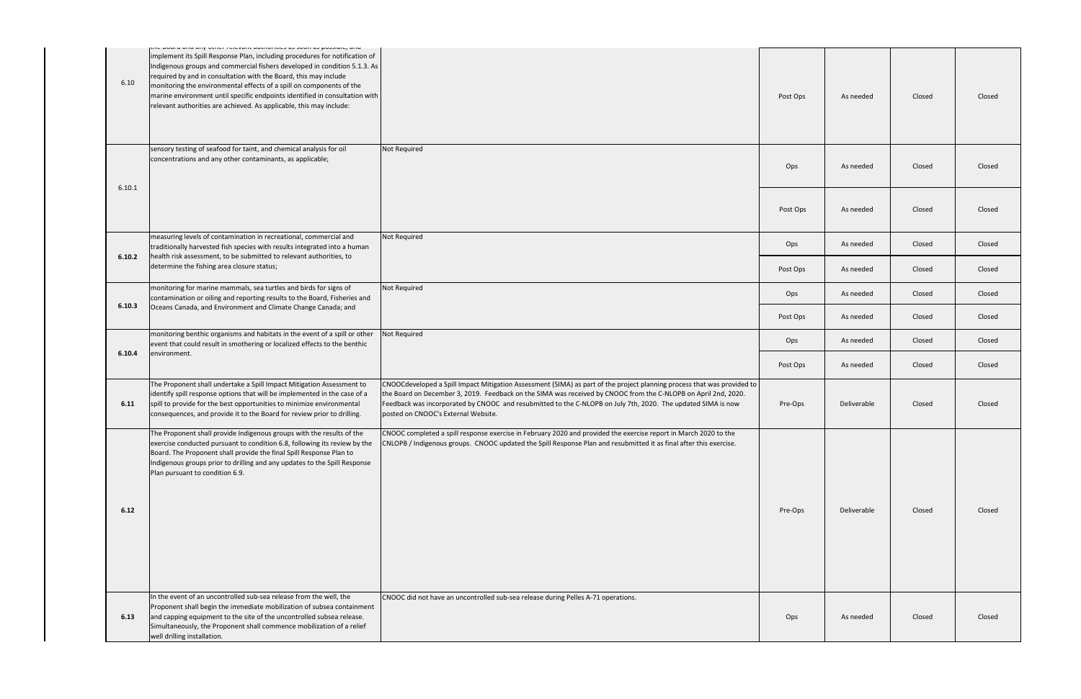| 6.10   | <u>sensi rulutani aashoristo as soon as possibility and</u><br>implement its Spill Response Plan, including procedures for notification of<br>Indigenous groups and commercial fishers developed in condition 5.1.3. As<br>required by and in consultation with the Board, this may include<br>monitoring the environmental effects of a spill on components of the<br>marine environment until specific endpoints identified in consultation with<br>relevant authorities are achieved. As applicable, this may include: |                                                                                                                                                                                                                                                                                                                                                                                                  | Post Ops | As needed   | Closed | Closed |
|--------|---------------------------------------------------------------------------------------------------------------------------------------------------------------------------------------------------------------------------------------------------------------------------------------------------------------------------------------------------------------------------------------------------------------------------------------------------------------------------------------------------------------------------|--------------------------------------------------------------------------------------------------------------------------------------------------------------------------------------------------------------------------------------------------------------------------------------------------------------------------------------------------------------------------------------------------|----------|-------------|--------|--------|
|        | sensory testing of seafood for taint, and chemical analysis for oil<br>concentrations and any other contaminants, as applicable;                                                                                                                                                                                                                                                                                                                                                                                          | Not Required                                                                                                                                                                                                                                                                                                                                                                                     | Ops      | As needed   | Closed | Closed |
| 6.10.1 |                                                                                                                                                                                                                                                                                                                                                                                                                                                                                                                           |                                                                                                                                                                                                                                                                                                                                                                                                  | Post Ops | As needed   | Closed | Closed |
|        | measuring levels of contamination in recreational, commercial and<br>traditionally harvested fish species with results integrated into a human<br>health risk assessment, to be submitted to relevant authorities, to<br>determine the fishing area closure status;                                                                                                                                                                                                                                                       | Not Required                                                                                                                                                                                                                                                                                                                                                                                     | Ops      | As needed   | Closed | Closed |
| 6.10.2 |                                                                                                                                                                                                                                                                                                                                                                                                                                                                                                                           |                                                                                                                                                                                                                                                                                                                                                                                                  | Post Ops | As needed   | Closed | Closed |
|        | monitoring for marine mammals, sea turtles and birds for signs of<br>contamination or oiling and reporting results to the Board, Fisheries and                                                                                                                                                                                                                                                                                                                                                                            | Not Required                                                                                                                                                                                                                                                                                                                                                                                     | Ops      | As needed   | Closed | Closed |
| 6.10.3 | Oceans Canada, and Environment and Climate Change Canada; and                                                                                                                                                                                                                                                                                                                                                                                                                                                             |                                                                                                                                                                                                                                                                                                                                                                                                  | Post Ops | As needed   | Closed | Closed |
|        | monitoring benthic organisms and habitats in the event of a spill or other<br>event that could result in smothering or localized effects to the benthic<br>environment.                                                                                                                                                                                                                                                                                                                                                   | Not Required                                                                                                                                                                                                                                                                                                                                                                                     | Ops      | As needed   | Closed | Closed |
| 6.10.4 |                                                                                                                                                                                                                                                                                                                                                                                                                                                                                                                           |                                                                                                                                                                                                                                                                                                                                                                                                  | Post Ops | As needed   | Closed | Closed |
| 6.11   | The Proponent shall undertake a Spill Impact Mitigation Assessment to<br>identify spill response options that will be implemented in the case of a<br>spill to provide for the best opportunities to minimize environmental<br>consequences, and provide it to the Board for review prior to drilling.                                                                                                                                                                                                                    | CNOOCdeveloped a Spill Impact Mitigation Assessment (SIMA) as part of the project planning process that was provided to<br>the Board on December 3, 2019. Feedback on the SIMA was received by CNOOC from the C-NLOPB on April 2nd, 2020.<br>Feedback was incorporated by CNOOC and resubmitted to the C-NLOPB on July 7th, 2020. The updated SIMA is now<br>posted on CNOOC's External Website. | Pre-Ops  | Deliverable | Closed | Closed |
| 6.12   | The Proponent shall provide Indigenous groups with the results of the<br>exercise conducted pursuant to condition 6.8, following its review by the<br>Board. The Proponent shall provide the final Spill Response Plan to<br>Indigenous groups prior to drilling and any updates to the Spill Response<br>Plan pursuant to condition 6.9.                                                                                                                                                                                 | CNOOC completed a spill response exercise in February 2020 and provided the exercise report in March 2020 to the<br>CNLOPB / Indigenous groups. CNOOC updated the Spill Response Plan and resubmitted it as final after this exercise.                                                                                                                                                           | Pre-Ops  | Deliverable | Closed | Closed |
| 6.13   | In the event of an uncontrolled sub-sea release from the well, the<br>Proponent shall begin the immediate mobilization of subsea containment<br>and capping equipment to the site of the uncontrolled subsea release.<br>Simultaneously, the Proponent shall commence mobilization of a relief<br>well drilling installation.                                                                                                                                                                                             | CNOOC did not have an uncontrolled sub-sea release during Pelles A-71 operations.                                                                                                                                                                                                                                                                                                                | Ops      | As needed   | Closed | Closed |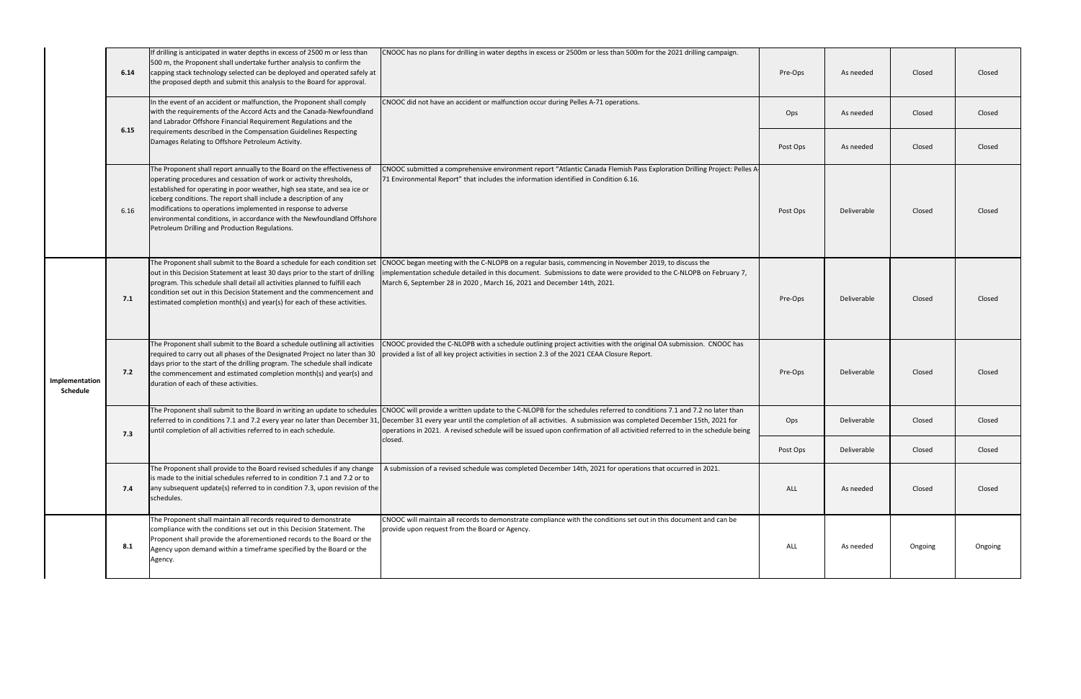|                                   | 6.14 | If drilling is anticipated in water depths in excess of 2500 m or less than<br>500 m, the Proponent shall undertake further analysis to confirm the<br>capping stack technology selected can be deployed and operated safely at<br>the proposed depth and submit this analysis to the Board for approval.                                                                                                                                                                                      | CNOOC has no plans for drilling in water depths in excess or 2500m or less than 500m for the 2021 drilling campaign.                                                                                                                                                                                                                                                                                                                                                                                                                       | Pre-Ops    | As needed   | Closed  | Closed  |
|-----------------------------------|------|------------------------------------------------------------------------------------------------------------------------------------------------------------------------------------------------------------------------------------------------------------------------------------------------------------------------------------------------------------------------------------------------------------------------------------------------------------------------------------------------|--------------------------------------------------------------------------------------------------------------------------------------------------------------------------------------------------------------------------------------------------------------------------------------------------------------------------------------------------------------------------------------------------------------------------------------------------------------------------------------------------------------------------------------------|------------|-------------|---------|---------|
|                                   | 6.15 | In the event of an accident or malfunction, the Proponent shall comply<br>with the requirements of the Accord Acts and the Canada-Newfoundland<br>and Labrador Offshore Financial Requirement Regulations and the                                                                                                                                                                                                                                                                              | CNOOC did not have an accident or malfunction occur during Pelles A-71 operations.                                                                                                                                                                                                                                                                                                                                                                                                                                                         | Ops        | As needed   | Closed  | Closed  |
|                                   |      | requirements described in the Compensation Guidelines Respecting<br>Damages Relating to Offshore Petroleum Activity.                                                                                                                                                                                                                                                                                                                                                                           |                                                                                                                                                                                                                                                                                                                                                                                                                                                                                                                                            | Post Ops   | As needed   | Closed  | Closed  |
|                                   | 6.16 | The Proponent shall report annually to the Board on the effectiveness of<br>operating procedures and cessation of work or activity thresholds,<br>established for operating in poor weather, high sea state, and sea ice or<br>iceberg conditions. The report shall include a description of any<br>modifications to operations implemented in response to adverse<br>environmental conditions, in accordance with the Newfoundland Offshore<br>Petroleum Drilling and Production Regulations. | CNOOC submitted a comprehensive environment report "Atlantic Canada Flemish Pass Exploration Drilling Project: Pelles A-<br>71 Environmental Report" that includes the information identified in Condition 6.16.                                                                                                                                                                                                                                                                                                                           | Post Ops   | Deliverable | Closed  | Closed  |
|                                   | 7.1  | The Proponent shall submit to the Board a schedule for each condition set<br>out in this Decision Statement at least 30 days prior to the start of drilling<br>program. This schedule shall detail all activities planned to fulfill each<br>condition set out in this Decision Statement and the commencement and<br>estimated completion month(s) and year(s) for each of these activities.                                                                                                  | CNOOC began meeting with the C-NLOPB on a regular basis, commencing in November 2019, to discuss the<br>Implementation schedule detailed in this document. Submissions to date were provided to the C-NLOPB on February 7,<br>March 6, September 28 in 2020, March 16, 2021 and December 14th, 2021.                                                                                                                                                                                                                                       | Pre-Ops    | Deliverable | Closed  | Closed  |
| Implementation<br><b>Schedule</b> | 7.2  | days prior to the start of the drilling program. The schedule shall indicate<br>the commencement and estimated completion month(s) and year(s) and<br>duration of each of these activities.                                                                                                                                                                                                                                                                                                    | The Proponent shall submit to the Board a schedule outlining all activities (CNOOC provided the C-NLOPB with a schedule outlining project activities with the original OA submission. CNOOC has<br>required to carry out all phases of the Designated Project no later than 30 provided a list of all key project activities in section 2.3 of the 2021 CEAA Closure Report.                                                                                                                                                               | Pre-Ops    | Deliverable | Closed  | Closed  |
|                                   | 7.3  | until completion of all activities referred to in each schedule.                                                                                                                                                                                                                                                                                                                                                                                                                               | The Proponent shall submit to the Board in writing an update to schedules CNOOC will provide a written update to the C-NLOPB for the schedules referred to conditions 7.1 and 7.2 no later than<br>referred to in conditions 7.1 and 7.2 every year no later than December 31, December 31 every year until the completion of all activities. A submission was completed December 15th, 2021 for<br>operations in 2021. A revised schedule will be issued upon confirmation of all activitied referred to in the schedule being<br>closed. | Ops        | Deliverable | Closed  | Closed  |
|                                   |      |                                                                                                                                                                                                                                                                                                                                                                                                                                                                                                |                                                                                                                                                                                                                                                                                                                                                                                                                                                                                                                                            | Post Ops   | Deliverable | Closed  | Closed  |
|                                   | 7.4  | The Proponent shall provide to the Board revised schedules if any change<br>is made to the initial schedules referred to in condition 7.1 and 7.2 or to<br>any subsequent update(s) referred to in condition 7.3, upon revision of the<br>schedules.                                                                                                                                                                                                                                           | A submission of a revised schedule was completed December 14th, 2021 for operations that occurred in 2021.                                                                                                                                                                                                                                                                                                                                                                                                                                 | <b>ALL</b> | As needed   | Closed  | Closed  |
|                                   | 8.1  | The Proponent shall maintain all records required to demonstrate<br>compliance with the conditions set out in this Decision Statement. The<br>Proponent shall provide the aforementioned records to the Board or the<br>Agency upon demand within a timeframe specified by the Board or the<br>Agency.                                                                                                                                                                                         | CNOOC will maintain all records to demonstrate compliance with the conditions set out in this document and can be<br>provide upon request from the Board or Agency.                                                                                                                                                                                                                                                                                                                                                                        | <b>ALL</b> | As needed   | Ongoing | Ongoing |